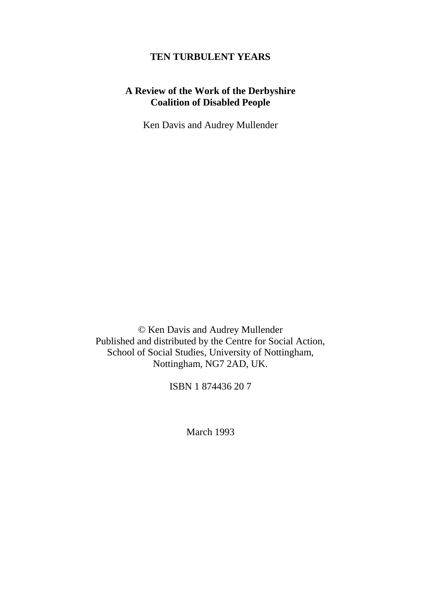#### **TEN TURBULENT YEARS**

## **A Review of the Work of the Derbyshire Coalition of Disabled People**

Ken Davis and Audrey Mullender

© Ken Davis and Audrey Mullender Published and distributed by the Centre for Social Action, School of Social Studies, University of Nottingham, Nottingham, NG7 2AD, UK.

ISBN 1 874436 20 7

March 1993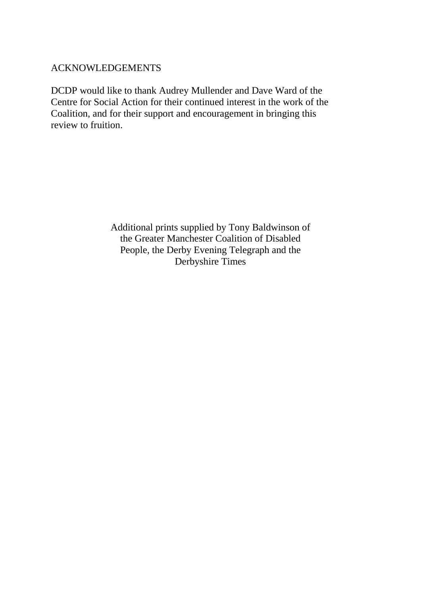### ACKNOWLEDGEMENTS

DCDP would like to thank Audrey Mullender and Dave Ward of the Centre for Social Action for their continued interest in the work of the Coalition, and for their support and encouragement in bringing this review to fruition.

> Additional prints supplied by Tony Baldwinson of the Greater Manchester Coalition of Disabled People, the Derby Evening Telegraph and the Derbyshire Times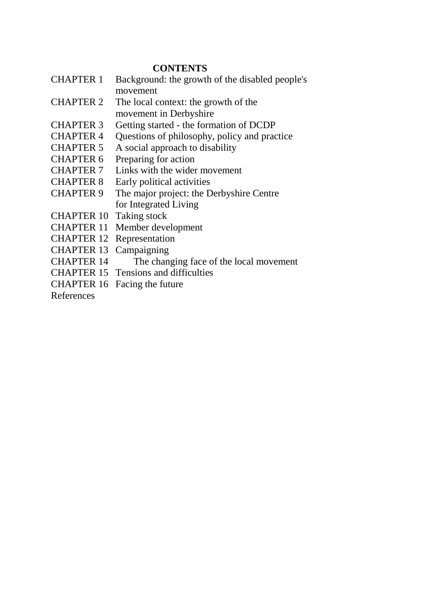## **CONTENTS**

- CHAPTER 1 Background: the growth of the disabled people's movement
- CHAPTER 2 The local context: the growth of the movement in Derbyshire
- CHAPTER 3 Getting started the formation of DCDP
- CHAPTER 4 Questions of philosophy, policy and practice
- CHAPTER 5 A social approach to disability
- CHAPTER 6 Preparing for action
- CHAPTER 7 Links with the wider movement
- CHAPTER 8 Early political activities
- CHAPTER 9 The major project: the Derbyshire Centre for Integrated Living
- CHAPTER 10 Taking stock
- CHAPTER 11 Member development
- CHAPTER 12 Representation
- CHAPTER 13 Campaigning
- CHAPTER 14 The changing face of the local movement
- CHAPTER 15 Tensions and difficulties
- CHAPTER 16 Facing the future

References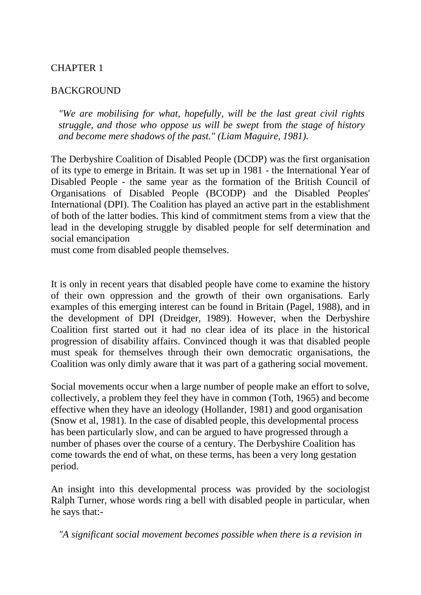#### **BACKGROUND**

*"We are mobilising for what, hopefully, will be the last great civil rights struggle, and those who oppose us will be swept* from *the stage of history and become mere shadows of the past." (Liam Maguire, 1981).* 

The Derbyshire Coalition of Disabled People (DCDP) was the first organisation of its type to emerge in Britain. It was set up in 1981 - the International Year of Disabled People - the same year as the formation of the British Council of Organisations of Disabled People (BCODP) and the Disabled Peoples' International (DPI). The Coalition has played an active part in the establishment of both of the latter bodies. This kind of commitment stems from a view that the lead in the developing struggle by disabled people for self determination and social emancipation

must come from disabled people themselves.

It is only in recent years that disabled people have come to examine the history of their own oppression and the growth of their own organisations. Early examples of this emerging interest can be found in Britain (Pagel, 1988), and in the development of DPI (Dreidger, 1989). However, when the Derbyshire Coalition first started out it had no clear idea of its place in the historical progression of disability affairs. Convinced though it was that disabled people must speak for themselves through their own democratic organisations, the Coalition was only dimly aware that it was part of a gathering social movement.

Social movements occur when a large number of people make an effort to solve, collectively, a problem they feel they have in common (Toth, 1965) and become effective when they have an ideology (Hollander, 1981) and good organisation (Snow et al, 1981). In the case of disabled people, this developmental process has been particularly slow, and can be argued to have progressed through a number of phases over the course of a century. The Derbyshire Coalition has come towards the end of what, on these terms, has been a very long gestation period.

An insight into this developmental process was provided by the sociologist Ralph Turner, whose words ring a bell with disabled people in particular, when he says that:-

*"A significant social movement becomes possible when there is a revision in*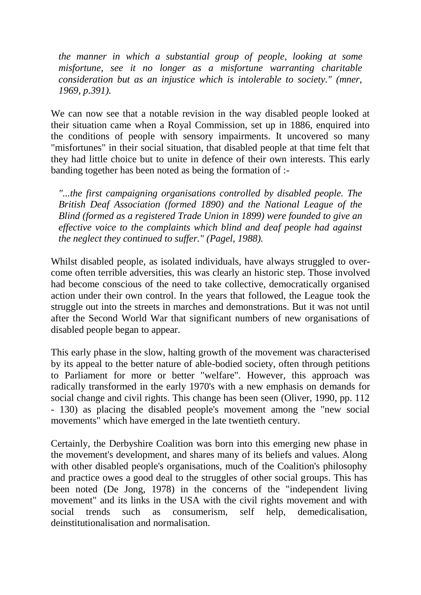*the manner in which a substantial group of people, looking at some misfortune, see it no longer as a misfortune warranting charitable consideration but as an injustice which is intolerable to society." (mner, 1969, p.391).* 

We can now see that a notable revision in the way disabled people looked at their situation came when a Royal Commission, set up in 1886, enquired into the conditions of people with sensory impairments. It uncovered so many "misfortunes" in their social situation, that disabled people at that time felt that they had little choice but to unite in defence of their own interests. This early banding together has been noted as being the formation of :-

*"...the first campaigning organisations controlled by disabled people. The British Deaf Association (formed 1890) and the National League of the Blind (formed as a registered Trade Union in 1899) were founded to give an effective voice to the complaints which blind and deaf people had against the neglect they continued to suffer." (Pagel, 1988).* 

Whilst disabled people, as isolated individuals, have always struggled to overcome often terrible adversities, this was clearly an historic step. Those involved had become conscious of the need to take collective, democratically organised action under their own control. In the years that followed, the League took the struggle out into the streets in marches and demonstrations. But it was not until after the Second World War that significant numbers of new organisations of disabled people began to appear.

This early phase in the slow, halting growth of the movement was characterised by its appeal to the better nature of able-bodied society, often through petitions to Parliament for more or better "welfare". However, this approach was radically transformed in the early 1970's with a new emphasis on demands for social change and civil rights. This change has been seen (Oliver, 1990, pp. 112 - 130) as placing the disabled people's movement among the "new social movements" which have emerged in the late twentieth century.

Certainly, the Derbyshire Coalition was born into this emerging new phase in the movement's development, and shares many of its beliefs and values. Along with other disabled people's organisations, much of the Coalition's philosophy and practice owes a good deal to the struggles of other social groups. This has been noted (De Jong, 1978) in the concerns of the "independent living movement" and its links in the USA with the civil rights movement and with social trends such as consumerism, self help, demedicalisation, deinstitutionalisation and normalisation.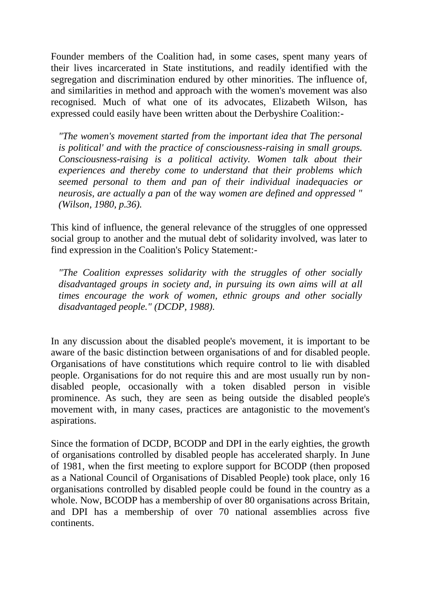Founder members of the Coalition had, in some cases, spent many years of their lives incarcerated in State institutions, and readily identified with the segregation and discrimination endured by other minorities. The influence of, and similarities in method and approach with the women's movement was also recognised. Much of what one of its advocates, Elizabeth Wilson, has expressed could easily have been written about the Derbyshire Coalition:-

*"The women's movement started from the important idea that The personal is political' and with the practice of consciousness-raising in small groups. Consciousness-raising is a political activity. Women talk about their experiences and thereby come to understand that their problems which seemed personal to them and pan of their individual inadequacies or neurosis, are actually a pan* of *the* way *women are defined and oppressed " (Wilson, 1980, p.36).* 

This kind of influence, the general relevance of the struggles of one oppressed social group to another and the mutual debt of solidarity involved, was later to find expression in the Coalition's Policy Statement:-

*"The Coalition expresses solidarity with the struggles of other socially disadvantaged groups in society and, in pursuing its own aims will at all times encourage the work of women, ethnic groups and other socially disadvantaged people." (DCDP, 1988).* 

In any discussion about the disabled people's movement, it is important to be aware of the basic distinction between organisations of and for disabled people. Organisations of have constitutions which require control to lie with disabled people. Organisations for do not require this and are most usually run by nondisabled people, occasionally with a token disabled person in visible prominence. As such, they are seen as being outside the disabled people's movement with, in many cases, practices are antagonistic to the movement's aspirations.

Since the formation of DCDP, BCODP and DPI in the early eighties, the growth of organisations controlled by disabled people has accelerated sharply. In June of 1981, when the first meeting to explore support for BCODP (then proposed as a National Council of Organisations of Disabled People) took place, only 16 organisations controlled by disabled people could be found in the country as a whole. Now, BCODP has a membership of over 80 organisations across Britain, and DPI has a membership of over 70 national assemblies across five continents.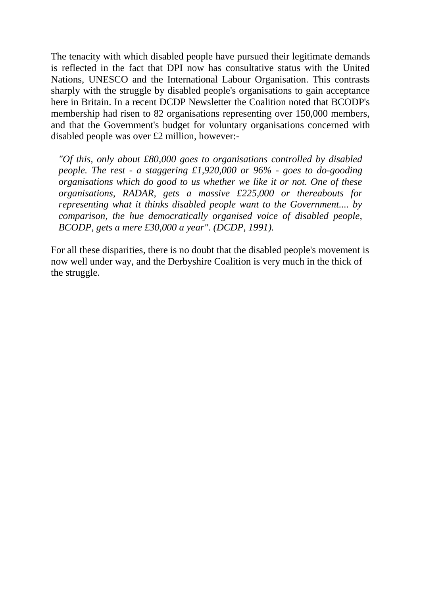The tenacity with which disabled people have pursued their legitimate demands is reflected in the fact that DPI now has consultative status with the United Nations, UNESCO and the International Labour Organisation. This contrasts sharply with the struggle by disabled people's organisations to gain acceptance here in Britain. In a recent DCDP Newsletter the Coalition noted that BCODP's membership had risen to 82 organisations representing over 150,000 members, and that the Government's budget for voluntary organisations concerned with disabled people was over £2 million, however:-

*"Of this, only about £80,000 goes to organisations controlled by disabled people. The rest - a staggering £1,920,000 or 96% - goes to do-gooding organisations which do good to us whether we like it or not. One of these organisations, RADAR, gets a massive £225,000 or thereabouts for representing what it thinks disabled people want to the Government.... by comparison, the hue democratically organised voice of disabled people, BCODP, gets a mere £30,000 a year". (DCDP, 1991).* 

For all these disparities, there is no doubt that the disabled people's movement is now well under way, and the Derbyshire Coalition is very much in the thick of the struggle.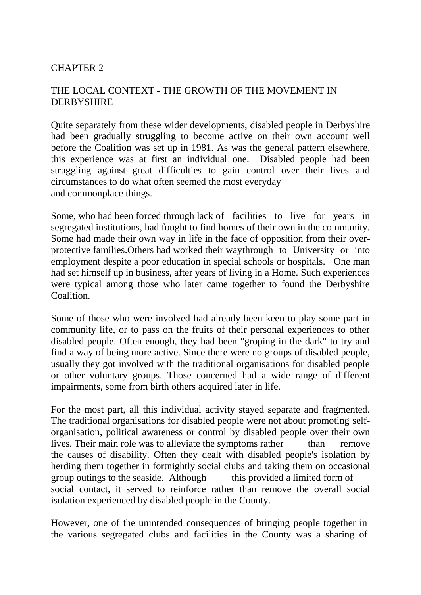# THE LOCAL CONTEXT - THE GROWTH OF THE MOVEMENT IN DERBYSHIRE

Quite separately from these wider developments, disabled people in Derbyshire had been gradually struggling to become active on their own account well before the Coalition was set up in 1981. As was the general pattern elsewhere, this experience was at first an individual one. Disabled people had been struggling against great difficulties to gain control over their lives and circumstances to do what often seemed the most everyday and commonplace things.

Some, who had been forced through lack of facilities to live for years in segregated institutions, had fought to find homes of their own in the community. Some had made their own way in life in the face of opposition from their overprotective families.Others had worked their waythrough to University or into employment despite a poor education in special schools or hospitals. One man had set himself up in business, after years of living in a Home. Such experiences were typical among those who later came together to found the Derbyshire Coalition.

Some of those who were involved had already been keen to play some part in community life, or to pass on the fruits of their personal experiences to other disabled people. Often enough, they had been "groping in the dark" to try and find a way of being more active. Since there were no groups of disabled people, usually they got involved with the traditional organisations for disabled people or other voluntary groups. Those concerned had a wide range of different impairments, some from birth others acquired later in life.

For the most part, all this individual activity stayed separate and fragmented. The traditional organisations for disabled people were not about promoting selforganisation, political awareness or control by disabled people over their own lives. Their main role was to alleviate the symptoms rather than remove the causes of disability. Often they dealt with disabled people's isolation by herding them together in fortnightly social clubs and taking them on occasional group outings to the seaside. Although this provided a limited form of social contact, it served to reinforce rather than remove the overall social isolation experienced by disabled people in the County.

However, one of the unintended consequences of bringing people together in the various segregated clubs and facilities in the County was a sharing of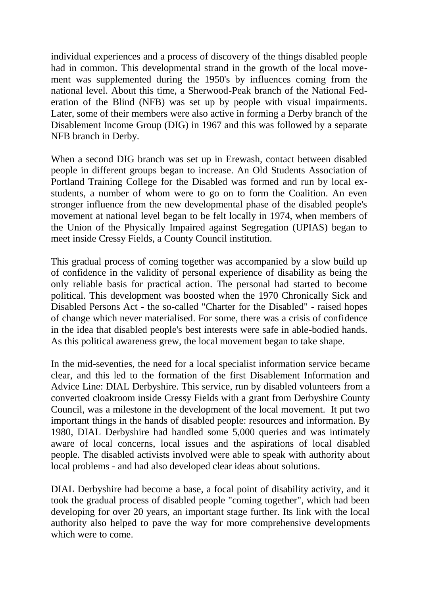individual experiences and a process of discovery of the things disabled people had in common. This developmental strand in the growth of the local movement was supplemented during the 1950's by influences coming from the national level. About this time, a Sherwood-Peak branch of the National Federation of the Blind (NFB) was set up by people with visual impairments. Later, some of their members were also active in forming a Derby branch of the Disablement Income Group (DIG) in 1967 and this was followed by a separate NFB branch in Derby.

When a second DIG branch was set up in Erewash, contact between disabled people in different groups began to increase. An Old Students Association of Portland Training College for the Disabled was formed and run by local exstudents, a number of whom were to go on to form the Coalition. An even stronger influence from the new developmental phase of the disabled people's movement at national level began to be felt locally in 1974, when members of the Union of the Physically Impaired against Segregation (UPIAS) began to meet inside Cressy Fields, a County Council institution.

This gradual process of coming together was accompanied by a slow build up of confidence in the validity of personal experience of disability as being the only reliable basis for practical action. The personal had started to become political. This development was boosted when the 1970 Chronically Sick and Disabled Persons Act - the so-called "Charter for the Disabled" - raised hopes of change which never materialised. For some, there was a crisis of confidence in the idea that disabled people's best interests were safe in able-bodied hands. As this political awareness grew, the local movement began to take shape.

In the mid-seventies, the need for a local specialist information service became clear, and this led to the formation of the first Disablement Information and Advice Line: DIAL Derbyshire. This service, run by disabled volunteers from a converted cloakroom inside Cressy Fields with a grant from Derbyshire County Council, was a milestone in the development of the local movement. It put two important things in the hands of disabled people: resources and information. By 1980, DIAL Derbyshire had handled some 5,000 queries and was intimately aware of local concerns, local issues and the aspirations of local disabled people. The disabled activists involved were able to speak with authority about local problems - and had also developed clear ideas about solutions.

DIAL Derbyshire had become a base, a focal point of disability activity, and it took the gradual process of disabled people "coming together", which had been developing for over 20 years, an important stage further. Its link with the local authority also helped to pave the way for more comprehensive developments which were to come.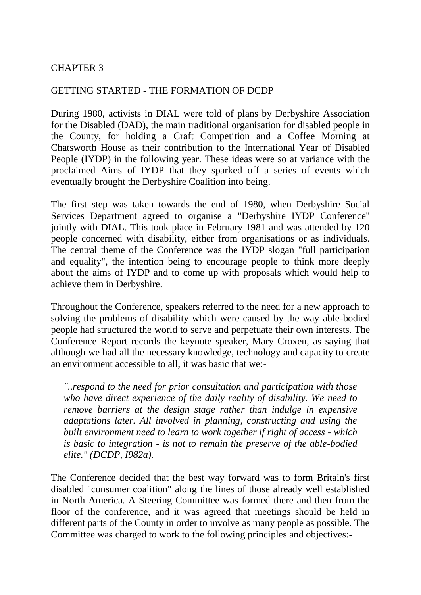#### GETTING STARTED - THE FORMATION OF DCDP

During 1980, activists in DIAL were told of plans by Derbyshire Association for the Disabled (DAD), the main traditional organisation for disabled people in the County, for holding a Craft Competition and a Coffee Morning at Chatsworth House as their contribution to the International Year of Disabled People (IYDP) in the following year. These ideas were so at variance with the proclaimed Aims of IYDP that they sparked off a series of events which eventually brought the Derbyshire Coalition into being.

The first step was taken towards the end of 1980, when Derbyshire Social Services Department agreed to organise a "Derbyshire IYDP Conference" jointly with DIAL. This took place in February 1981 and was attended by 120 people concerned with disability, either from organisations or as individuals. The central theme of the Conference was the IYDP slogan "full participation and equality", the intention being to encourage people to think more deeply about the aims of IYDP and to come up with proposals which would help to achieve them in Derbyshire.

Throughout the Conference, speakers referred to the need for a new approach to solving the problems of disability which were caused by the way able-bodied people had structured the world to serve and perpetuate their own interests. The Conference Report records the keynote speaker, Mary Croxen, as saying that although we had all the necessary knowledge, technology and capacity to create an environment accessible to all, it was basic that we:-

*"..respond to the need for prior consultation and participation with those who have direct experience of the daily reality of disability. We need to remove barriers at the design stage rather than indulge in expensive adaptations later. All involved in planning, constructing and using the built environment need to learn to work together if right of access - which is basic to integration - is not to remain the preserve of the able-bodied elite." (DCDP, I982a).* 

The Conference decided that the best way forward was to form Britain's first disabled "consumer coalition" along the lines of those already well established in North America. A Steering Committee was formed there and then from the floor of the conference, and it was agreed that meetings should be held in different parts of the County in order to involve as many people as possible. The Committee was charged to work to the following principles and objectives:-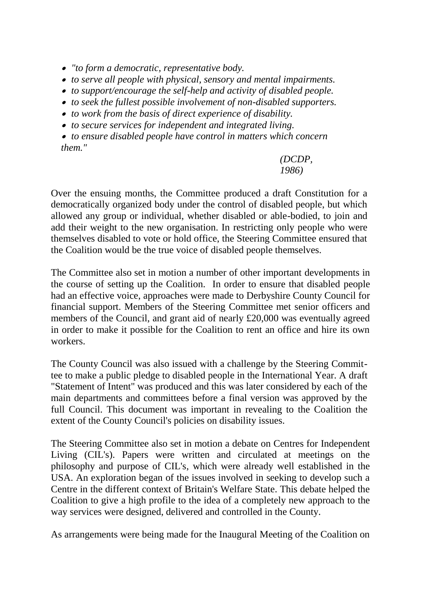- *"to form a democratic, representative body.*
- *to serve all people with physical, sensory and mental impairments.*
- *to support/encourage the self-help and activity of disabled people.*
- *to seek the fullest possible involvement of non-disabled supporters.*
- *to work from the basis of direct experience of disability.*
- *to secure services for independent and integrated living.*
- *to ensure disabled people have control in matters which concern them."*

#### *(DCDP, 1986)*

Over the ensuing months, the Committee produced a draft Constitution for a democratically organized body under the control of disabled people, but which allowed any group or individual, whether disabled or able-bodied, to join and add their weight to the new organisation. In restricting only people who were themselves disabled to vote or hold office, the Steering Committee ensured that the Coalition would be the true voice of disabled people themselves.

The Committee also set in motion a number of other important developments in the course of setting up the Coalition. In order to ensure that disabled people had an effective voice, approaches were made to Derbyshire County Council for financial support. Members of the Steering Committee met senior officers and members of the Council, and grant aid of nearly £20,000 was eventually agreed in order to make it possible for the Coalition to rent an office and hire its own workers.

The County Council was also issued with a challenge by the Steering Committee to make a public pledge to disabled people in the International Year. A draft "Statement of Intent" was produced and this was later considered by each of the main departments and committees before a final version was approved by the full Council. This document was important in revealing to the Coalition the extent of the County Council's policies on disability issues.

The Steering Committee also set in motion a debate on Centres for Independent Living (CIL's). Papers were written and circulated at meetings on the philosophy and purpose of CIL's, which were already well established in the USA. An exploration began of the issues involved in seeking to develop such a Centre in the different context of Britain's Welfare State. This debate helped the Coalition to give a high profile to the idea of a completely new approach to the way services were designed, delivered and controlled in the County.

As arrangements were being made for the Inaugural Meeting of the Coalition on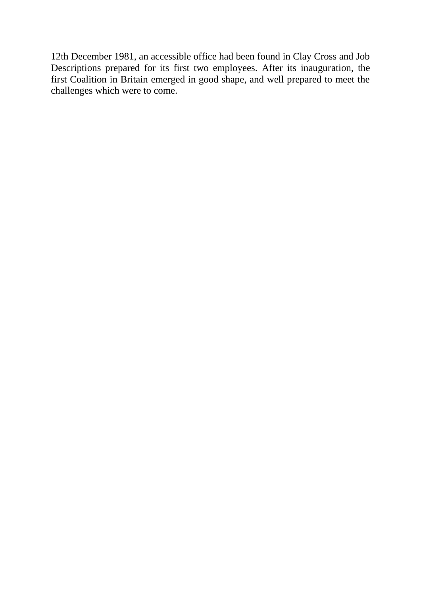12th December 1981, an accessible office had been found in Clay Cross and Job Descriptions prepared for its first two employees. After its inauguration, the first Coalition in Britain emerged in good shape, and well prepared to meet the challenges which were to come.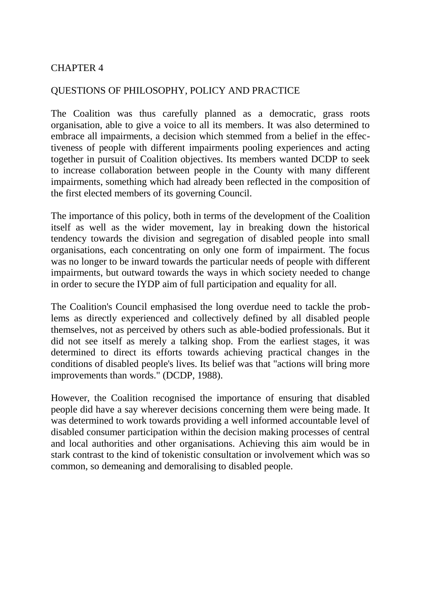#### QUESTIONS OF PHILOSOPHY, POLICY AND PRACTICE

The Coalition was thus carefully planned as a democratic, grass roots organisation, able to give a voice to all its members. It was also determined to embrace all impairments, a decision which stemmed from a belief in the effectiveness of people with different impairments pooling experiences and acting together in pursuit of Coalition objectives. Its members wanted DCDP to seek to increase collaboration between people in the County with many different impairments, something which had already been reflected in the composition of the first elected members of its governing Council.

The importance of this policy, both in terms of the development of the Coalition itself as well as the wider movement, lay in breaking down the historical tendency towards the division and segregation of disabled people into small organisations, each concentrating on only one form of impairment. The focus was no longer to be inward towards the particular needs of people with different impairments, but outward towards the ways in which society needed to change in order to secure the IYDP aim of full participation and equality for all.

The Coalition's Council emphasised the long overdue need to tackle the problems as directly experienced and collectively defined by all disabled people themselves, not as perceived by others such as able-bodied professionals. But it did not see itself as merely a talking shop. From the earliest stages, it was determined to direct its efforts towards achieving practical changes in the conditions of disabled people's lives. Its belief was that "actions will bring more improvements than words." (DCDP, 1988).

However, the Coalition recognised the importance of ensuring that disabled people did have a say wherever decisions concerning them were being made. It was determined to work towards providing a well informed accountable level of disabled consumer participation within the decision making processes of central and local authorities and other organisations. Achieving this aim would be in stark contrast to the kind of tokenistic consultation or involvement which was so common, so demeaning and demoralising to disabled people.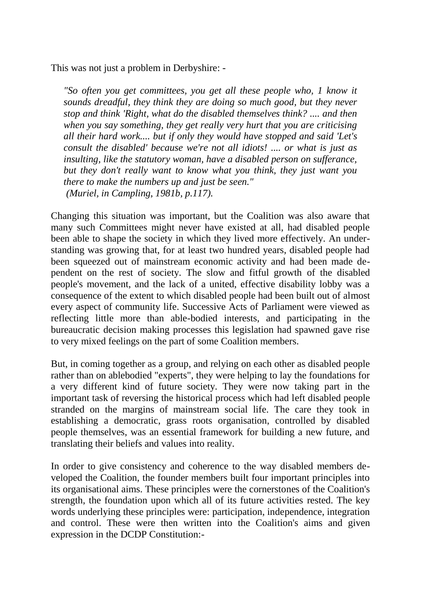This was not just a problem in Derbyshire: -

*"So often you get committees, you get all these people who, 1 know it sounds dreadful, they think they are doing so much good, but they never stop and think 'Right, what do the disabled themselves think? .... and then when you say something, they get really very hurt that you are criticising all their hard work.... but if only they would have stopped and said 'Let's consult the disabled' because we're not all idiots! .... or what is just as insulting, like the statutory woman, have a disabled person on sufferance, but they don't really want to know what you think, they just want you there to make the numbers up and just be seen." (Muriel, in Campling, 1981b, p.117).* 

Changing this situation was important, but the Coalition was also aware that many such Committees might never have existed at all, had disabled people been able to shape the society in which they lived more effectively. An understanding was growing that, for at least two hundred years, disabled people had been squeezed out of mainstream economic activity and had been made dependent on the rest of society. The slow and fitful growth of the disabled people's movement, and the lack of a united, effective disability lobby was a consequence of the extent to which disabled people had been built out of almost every aspect of community life. Successive Acts of Parliament were viewed as reflecting little more than able-bodied interests, and participating in the bureaucratic decision making processes this legislation had spawned gave rise to very mixed feelings on the part of some Coalition members.

But, in coming together as a group, and relying on each other as disabled people rather than on ablebodied "experts", they were helping to lay the foundations for a very different kind of future society. They were now taking part in the important task of reversing the historical process which had left disabled people stranded on the margins of mainstream social life. The care they took in establishing a democratic, grass roots organisation, controlled by disabled people themselves, was an essential framework for building a new future, and translating their beliefs and values into reality.

In order to give consistency and coherence to the way disabled members developed the Coalition, the founder members built four important principles into its organisational aims. These principles were the cornerstones of the Coalition's strength, the foundation upon which all of its future activities rested. The key words underlying these principles were: participation, independence, integration and control. These were then written into the Coalition's aims and given expression in the DCDP Constitution:-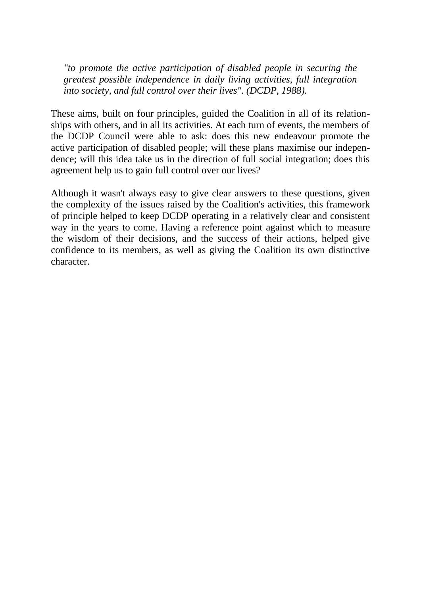*"to promote the active participation of disabled people in securing the greatest possible independence in daily living activities, full integration into society, and full control over their lives". (DCDP, 1988).* 

These aims, built on four principles, guided the Coalition in all of its relationships with others, and in all its activities. At each turn of events, the members of the DCDP Council were able to ask: does this new endeavour promote the active participation of disabled people; will these plans maximise our independence; will this idea take us in the direction of full social integration; does this agreement help us to gain full control over our lives?

Although it wasn't always easy to give clear answers to these questions, given the complexity of the issues raised by the Coalition's activities, this framework of principle helped to keep DCDP operating in a relatively clear and consistent way in the years to come. Having a reference point against which to measure the wisdom of their decisions, and the success of their actions, helped give confidence to its members, as well as giving the Coalition its own distinctive character.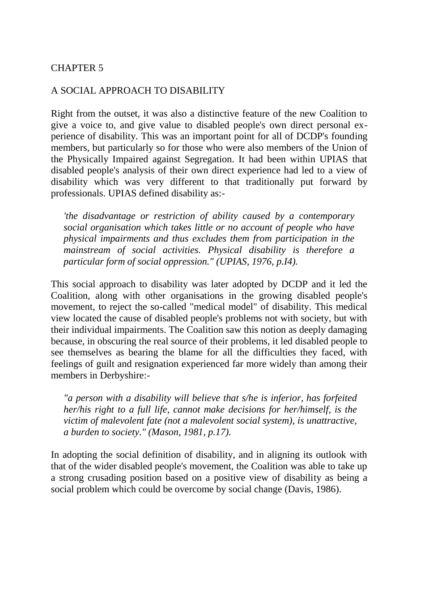#### A SOCIAL APPROACH TO DISABILITY

Right from the outset, it was also a distinctive feature of the new Coalition to give a voice to, and give value to disabled people's own direct personal experience of disability. This was an important point for all of DCDP's founding members, but particularly so for those who were also members of the Union of the Physically Impaired against Segregation. It had been within UPIAS that disabled people's analysis of their own direct experience had led to a view of disability which was very different to that traditionally put forward by professionals. UPIAS defined disability as:-

*'the disadvantage or restriction of ability caused by a contemporary social organisation which takes little or no account of people who have physical impairments and thus excludes them from participation in the mainstream of social activities. Physical disability is therefore a particular form of social oppression." (UPIAS, 1976, p.I4).* 

This social approach to disability was later adopted by DCDP and it led the Coalition, along with other organisations in the growing disabled people's movement, to reject the so-called "medical model" of disability. This medical view located the cause of disabled people's problems not with society, but with their individual impairments. The Coalition saw this notion as deeply damaging because, in obscuring the real source of their problems, it led disabled people to see themselves as bearing the blame for all the difficulties they faced, with feelings of guilt and resignation experienced far more widely than among their members in Derbyshire:-

*"a person with a disability will believe that s/he is inferior, has forfeited her/his right to a full life, cannot make decisions for her/himself, is the victim of malevolent fate (not a malevolent social system), is unattractive, a burden to society." (Mason, 1981, p.17).* 

In adopting the social definition of disability, and in aligning its outlook with that of the wider disabled people's movement, the Coalition was able to take up a strong crusading position based on a positive view of disability as being a social problem which could be overcome by social change (Davis, 1986).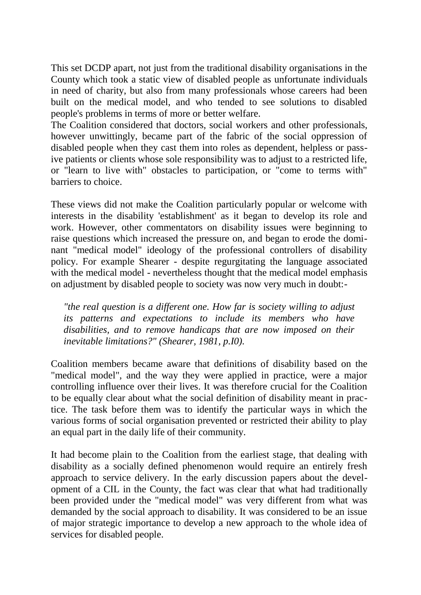This set DCDP apart, not just from the traditional disability organisations in the County which took a static view of disabled people as unfortunate individuals in need of charity, but also from many professionals whose careers had been built on the medical model, and who tended to see solutions to disabled people's problems in terms of more or better welfare.

The Coalition considered that doctors, social workers and other professionals, however unwittingly, became part of the fabric of the social oppression of disabled people when they cast them into roles as dependent, helpless or passive patients or clients whose sole responsibility was to adjust to a restricted life, or "learn to live with" obstacles to participation, or "come to terms with" barriers to choice.

These views did not make the Coalition particularly popular or welcome with interests in the disability 'establishment' as it began to develop its role and work. However, other commentators on disability issues were beginning to raise questions which increased the pressure on, and began to erode the dominant "medical model" ideology of the professional controllers of disability policy. For example Shearer - despite regurgitating the language associated with the medical model - nevertheless thought that the medical model emphasis on adjustment by disabled people to society was now very much in doubt:-

*"the real question is a different one. How far is society willing to adjust its patterns and expectations to include its members who have disabilities, and to remove handicaps that are now imposed on their inevitable limitations?" (Shearer, 1981, p.I0).* 

Coalition members became aware that definitions of disability based on the "medical model", and the way they were applied in practice, were a major controlling influence over their lives. It was therefore crucial for the Coalition to be equally clear about what the social definition of disability meant in practice. The task before them was to identify the particular ways in which the various forms of social organisation prevented or restricted their ability to play an equal part in the daily life of their community.

It had become plain to the Coalition from the earliest stage, that dealing with disability as a socially defined phenomenon would require an entirely fresh approach to service delivery. In the early discussion papers about the development of a CIL in the County, the fact was clear that what had traditionally been provided under the "medical model" was very different from what was demanded by the social approach to disability. It was considered to be an issue of major strategic importance to develop a new approach to the whole idea of services for disabled people.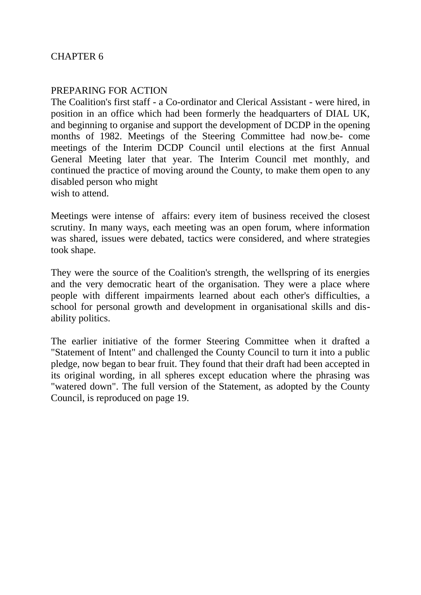#### PREPARING FOR ACTION

The Coalition's first staff - a Co-ordinator and Clerical Assistant - were hired, in position in an office which had been formerly the headquarters of DIAL UK, and beginning to organise and support the development of DCDP in the opening months of 1982. Meetings of the Steering Committee had now-be- come meetings of the Interim DCDP Council until elections at the first Annual General Meeting later that year. The Interim Council met monthly, and continued the practice of moving around the County, to make them open to any disabled person who might wish to attend.

Meetings were intense of affairs: every item of business received the closest scrutiny. In many ways, each meeting was an open forum, where information was shared, issues were debated, tactics were considered, and where strategies took shape.

They were the source of the Coalition's strength, the wellspring of its energies and the very democratic heart of the organisation. They were a place where people with different impairments learned about each other's difficulties, a school for personal growth and development in organisational skills and disability politics.

The earlier initiative of the former Steering Committee when it drafted a "Statement of Intent" and challenged the County Council to turn it into a public pledge, now began to bear fruit. They found that their draft had been accepted in its original wording, in all spheres except education where the phrasing was "watered down". The full version of the Statement, as adopted by the County Council, is reproduced on page 19.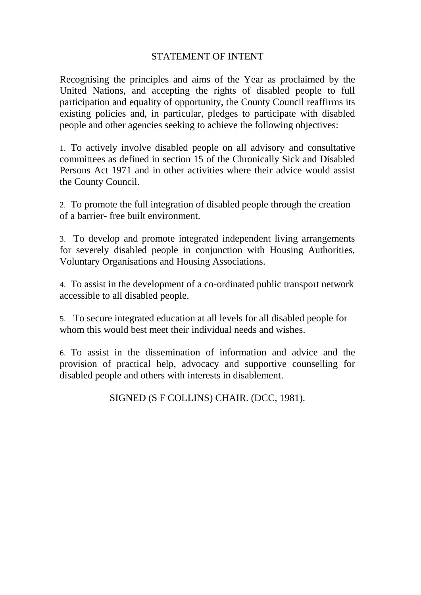#### STATEMENT OF INTENT

Recognising the principles and aims of the Year as proclaimed by the United Nations, and accepting the rights of disabled people to full participation and equality of opportunity, the County Council reaffirms its existing policies and, in particular, pledges to participate with disabled people and other agencies seeking to achieve the following objectives:

1. To actively involve disabled people on all advisory and consultative committees as defined in section 15 of the Chronically Sick and Disabled Persons Act 1971 and in other activities where their advice would assist the County Council.

2. To promote the full integration of disabled people through the creation of a barrier- free built environment.

3. To develop and promote integrated independent living arrangements for severely disabled people in conjunction with Housing Authorities, Voluntary Organisations and Housing Associations.

4. To assist in the development of a co-ordinated public transport network accessible to all disabled people.

5. To secure integrated education at all levels for all disabled people for whom this would best meet their individual needs and wishes.

6. To assist in the dissemination of information and advice and the provision of practical help, advocacy and supportive counselling for disabled people and others with interests in disablement.

SIGNED (S F COLLINS) CHAIR. (DCC, 1981).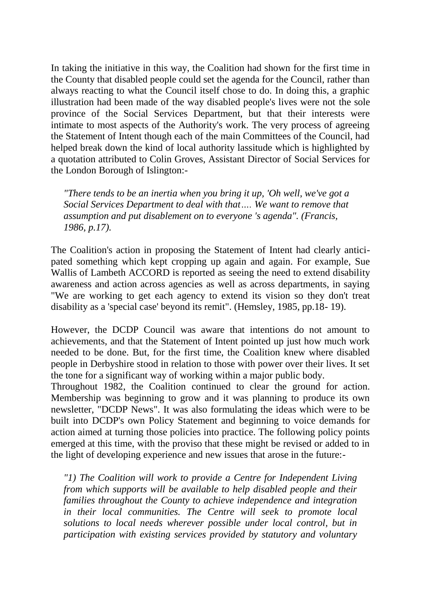In taking the initiative in this way, the Coalition had shown for the first time in the County that disabled people could set the agenda for the Council, rather than always reacting to what the Council itself chose to do. In doing this, a graphic illustration had been made of the way disabled people's lives were not the sole province of the Social Services Department, but that their interests were intimate to most aspects of the Authority's work. The very process of agreeing the Statement of Intent though each of the main Committees of the Council, had helped break down the kind of local authority lassitude which is highlighted by a quotation attributed to Colin Groves, Assistant Director of Social Services for the London Borough of Islington:-

*"There tends to be an inertia when you bring it up, 'Oh well, we've got a Social Services Department to deal with that…. We want to remove that assumption and put disablement on to everyone 's agenda". (Francis, 1986, p.17).* 

The Coalition's action in proposing the Statement of Intent had clearly anticipated something which kept cropping up again and again. For example, Sue Wallis of Lambeth ACCORD is reported as seeing the need to extend disability awareness and action across agencies as well as across departments, in saying "We are working to get each agency to extend its vision so they don't treat disability as a 'special case' beyond its remit". (Hemsley, 1985, pp.18- 19).

However, the DCDP Council was aware that intentions do not amount to achievements, and that the Statement of Intent pointed up just how much work needed to be done. But, for the first time, the Coalition knew where disabled people in Derbyshire stood in relation to those with power over their lives. It set the tone for a significant way of working within a major public body.

Throughout 1982, the Coalition continued to clear the ground for action. Membership was beginning to grow and it was planning to produce its own newsletter, "DCDP News". It was also formulating the ideas which were to be built into DCDP's own Policy Statement and beginning to voice demands for action aimed at turning those policies into practice. The following policy points emerged at this time, with the proviso that these might be revised or added to in the light of developing experience and new issues that arose in the future:-

*"1) The Coalition will work to provide a Centre for Independent Living from which supports will be available to help disabled people and their families throughout the County to achieve independence and integration in their local communities. The Centre will seek to promote local solutions to local needs wherever possible under local control, but in participation with existing services provided by statutory and voluntary*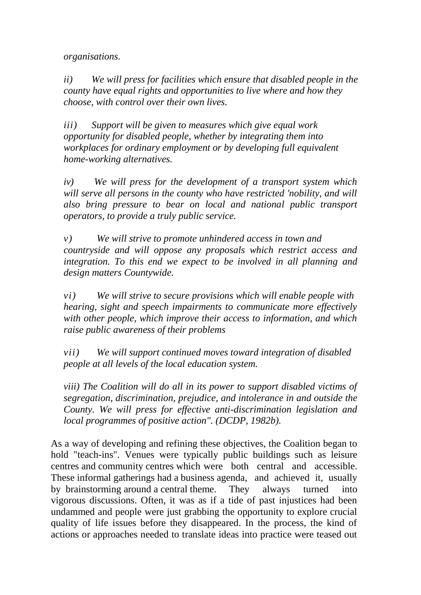*organisations.* 

*ii) We will press for facilities which ensure that disabled people in the county have equal rights and opportunities to live where and how they choose, with control over their own lives.* 

*iii) Support will be given to measures which give equal work opportunity for disabled people, whether by integrating them into workplaces for ordinary employment or by developing full equivalent home-working alternatives.* 

*iv) We will press for the development of a transport system which will serve all persons in the county who have restricted 'nobility, and will also bring pressure to bear on local and national public transport operators, to provide a truly public service.* 

*v) We will strive to promote unhindered access in town and countryside and will oppose any proposals which restrict access and integration. To this end we expect to be involved in all planning and design matters Countywide.* 

*vi) We will strive to secure provisions which will enable people with hearing, sight and speech impairments to communicate more effectively with other people, which improve their access to information, and which raise public awareness of their problems* 

*vii) We will support continued moves toward integration of disabled people at all levels of the local education system.* 

*viii) The Coalition will do all in its power to support disabled victims of segregation, discrimination, prejudice, and intolerance in and outside the County. We will press for effective anti-discrimination legislation and local programmes of positive action". (DCDP, 1982b).* 

As a way of developing and refining these objectives, the Coalition began to hold "teach-ins". Venues were typically public buildings such as leisure centres and community centres which were both central and accessible. These informal gatherings had a business agenda, and achieved it, usually by brainstorming around a central theme. They always turned into vigorous discussions. Often, it was as if a tide of past injustices had been undammed and people were just grabbing the opportunity to explore crucial quality of life issues before they disappeared. In the process, the kind of actions or approaches needed to translate ideas into practice were teased out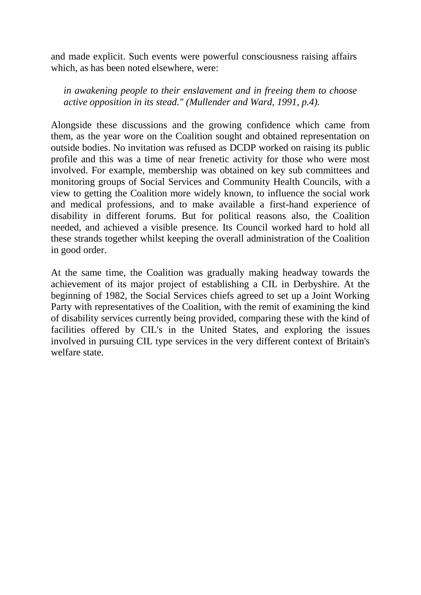and made explicit. Such events were powerful consciousness raising affairs which, as has been noted elsewhere, were:

*in awakening people to their enslavement and in freeing them to choose active opposition in its stead." (Mullender and Ward, 1991, p.4).* 

Alongside these discussions and the growing confidence which came from them, as the year wore on the Coalition sought and obtained representation on outside bodies. No invitation was refused as DCDP worked on raising its public profile and this was a time of near frenetic activity for those who were most involved. For example, membership was obtained on key sub committees and monitoring groups of Social Services and Community Health Councils, with a view to getting the Coalition more widely known, to influence the social work and medical professions, and to make available a first-hand experience of disability in different forums. But for political reasons also, the Coalition needed, and achieved a visible presence. Its Council worked hard to hold all these strands together whilst keeping the overall administration of the Coalition in good order.

At the same time, the Coalition was gradually making headway towards the achievement of its major project of establishing a CIL in Derbyshire. At the beginning of 1982, the Social Services chiefs agreed to set up a Joint Working Party with representatives of the Coalition, with the remit of examining the kind of disability services currently being provided, comparing these with the kind of facilities offered by CIL's in the United States, and exploring the issues involved in pursuing CIL type services in the very different context of Britain's welfare state.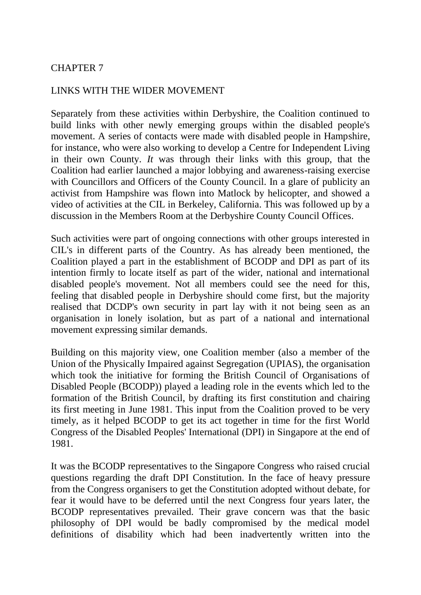#### LINKS WITH THE WIDER MOVEMENT

Separately from these activities within Derbyshire, the Coalition continued to build links with other newly emerging groups within the disabled people's movement. A series of contacts were made with disabled people in Hampshire, for instance, who were also working to develop a Centre for Independent Living in their own County. *It* was through their links with this group, that the Coalition had earlier launched a major lobbying and awareness-raising exercise with Councillors and Officers of the County Council. In a glare of publicity an activist from Hampshire was flown into Matlock by helicopter, and showed a video of activities at the CIL in Berkeley, California. This was followed up by a discussion in the Members Room at the Derbyshire County Council Offices.

Such activities were part of ongoing connections with other groups interested in CIL's in different parts of the Country. As has already been mentioned, the Coalition played a part in the establishment of BCODP and DPI as part of its intention firmly to locate itself as part of the wider, national and international disabled people's movement. Not all members could see the need for this, feeling that disabled people in Derbyshire should come first, but the majority realised that DCDP's own security in part lay with it not being seen as an organisation in lonely isolation, but as part of a national and international movement expressing similar demands.

Building on this majority view, one Coalition member (also a member of the Union of the Physically Impaired against Segregation (UPIAS), the organisation which took the initiative for forming the British Council of Organisations of Disabled People (BCODP)) played a leading role in the events which led to the formation of the British Council, by drafting its first constitution and chairing its first meeting in June 1981. This input from the Coalition proved to be very timely, as it helped BCODP to get its act together in time for the first World Congress of the Disabled Peoples' International (DPI) in Singapore at the end of 1981.

It was the BCODP representatives to the Singapore Congress who raised crucial questions regarding the draft DPI Constitution. In the face of heavy pressure from the Congress organisers to get the Constitution adopted without debate, for fear it would have to be deferred until the next Congress four years later, the BCODP representatives prevailed. Their grave concern was that the basic philosophy of DPI would be badly compromised by the medical model definitions of disability which had been inadvertently written into the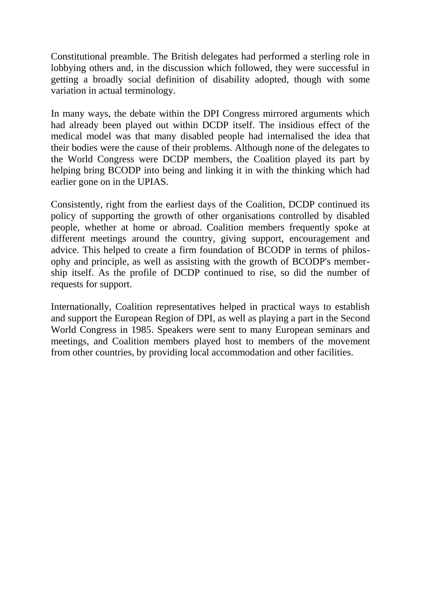Constitutional preamble. The British delegates had performed a sterling role in lobbying others and, in the discussion which followed, they were successful in getting a broadly social definition of disability adopted, though with some variation in actual terminology.

In many ways, the debate within the DPI Congress mirrored arguments which had already been played out within DCDP itself. The insidious effect of the medical model was that many disabled people had internalised the idea that their bodies were the cause of their problems. Although none of the delegates to the World Congress were DCDP members, the Coalition played its part by helping bring BCODP into being and linking it in with the thinking which had earlier gone on in the UPIAS.

Consistently, right from the earliest days of the Coalition, DCDP continued its policy of supporting the growth of other organisations controlled by disabled people, whether at home or abroad. Coalition members frequently spoke at different meetings around the country, giving support, encouragement and advice. This helped to create a firm foundation of BCODP in terms of philosophy and principle, as well as assisting with the growth of BCODP's membership itself. As the profile of DCDP continued to rise, so did the number of requests for support.

Internationally, Coalition representatives helped in practical ways to establish and support the European Region of DPI, as well as playing a part in the Second World Congress in 1985. Speakers were sent to many European seminars and meetings, and Coalition members played host to members of the movement from other countries, by providing local accommodation and other facilities.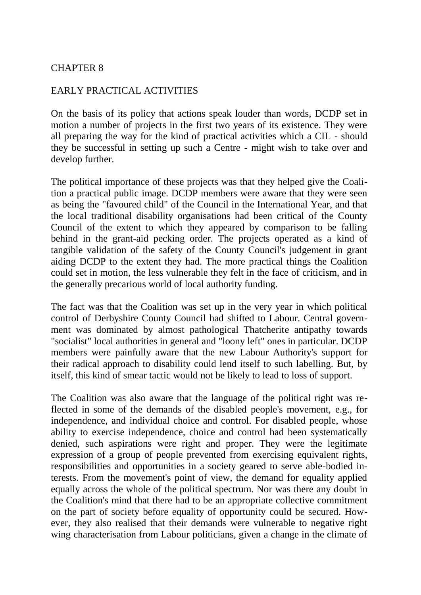### EARLY PRACTICAL ACTIVITIES

On the basis of its policy that actions speak louder than words, DCDP set in motion a number of projects in the first two years of its existence. They were all preparing the way for the kind of practical activities which a CIL - should they be successful in setting up such a Centre - might wish to take over and develop further.

The political importance of these projects was that they helped give the Coalition a practical public image. DCDP members were aware that they were seen as being the "favoured child" of the Council in the International Year, and that the local traditional disability organisations had been critical of the County Council of the extent to which they appeared by comparison to be falling behind in the grant-aid pecking order. The projects operated as a kind of tangible validation of the safety of the County Council's judgement in grant aiding DCDP to the extent they had. The more practical things the Coalition could set in motion, the less vulnerable they felt in the face of criticism, and in the generally precarious world of local authority funding.

The fact was that the Coalition was set up in the very year in which political control of Derbyshire County Council had shifted to Labour. Central government was dominated by almost pathological Thatcherite antipathy towards "socialist" local authorities in general and "loony left" ones in particular. DCDP members were painfully aware that the new Labour Authority's support for their radical approach to disability could lend itself to such labelling. But, by itself, this kind of smear tactic would not be likely to lead to loss of support.

The Coalition was also aware that the language of the political right was reflected in some of the demands of the disabled people's movement, e.g., for independence, and individual choice and control. For disabled people, whose ability to exercise independence, choice and control had been systematically denied, such aspirations were right and proper. They were the legitimate expression of a group of people prevented from exercising equivalent rights, responsibilities and opportunities in a society geared to serve able-bodied interests. From the movement's point of view, the demand for equality applied equally across the whole of the political spectrum. Nor was there any doubt in the Coalition's mind that there had to be an appropriate collective commitment on the part of society before equality of opportunity could be secured. However, they also realised that their demands were vulnerable to negative right wing characterisation from Labour politicians, given a change in the climate of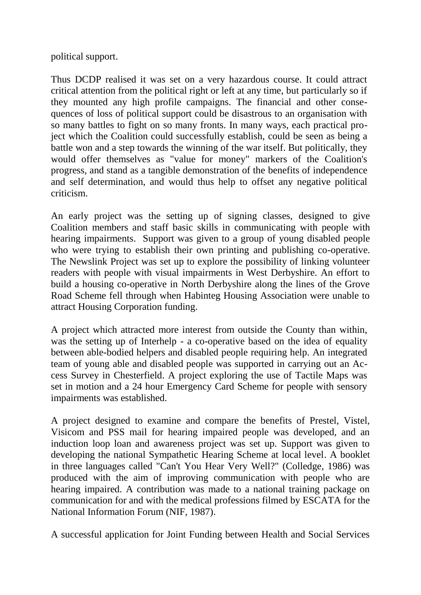political support.

Thus DCDP realised it was set on a very hazardous course. It could attract critical attention from the political right or left at any time, but particularly so if they mounted any high profile campaigns. The financial and other consequences of loss of political support could be disastrous to an organisation with so many battles to fight on so many fronts. In many ways, each practical project which the Coalition could successfully establish, could be seen as being a battle won and a step towards the winning of the war itself. But politically, they would offer themselves as "value for money" markers of the Coalition's progress, and stand as a tangible demonstration of the benefits of independence and self determination, and would thus help to offset any negative political criticism.

An early project was the setting up of signing classes, designed to give Coalition members and staff basic skills in communicating with people with hearing impairments. Support was given to a group of young disabled people who were trying to establish their own printing and publishing co-operative. The Newslink Project was set up to explore the possibility of linking volunteer readers with people with visual impairments in West Derbyshire. An effort to build a housing co-operative in North Derbyshire along the lines of the Grove Road Scheme fell through when Habinteg Housing Association were unable to attract Housing Corporation funding.

A project which attracted more interest from outside the County than within, was the setting up of Interhelp - a co-operative based on the idea of equality between able-bodied helpers and disabled people requiring help. An integrated team of young able and disabled people was supported in carrying out an Access Survey in Chesterfield. A project exploring the use of Tactile Maps was set in motion and a 24 hour Emergency Card Scheme for people with sensory impairments was established.

A project designed to examine and compare the benefits of Prestel, Vistel, Visicom and PSS mail for hearing impaired people was developed, and an induction loop loan and awareness project was set up. Support was given to developing the national Sympathetic Hearing Scheme at local level. A booklet in three languages called "Can't You Hear Very Well?" (Colledge, 1986) was produced with the aim of improving communication with people who are hearing impaired. A contribution was made to a national training package on communication for and with the medical professions filmed by ESCATA for the National Information Forum (NIF, 1987).

A successful application for Joint Funding between Health and Social Services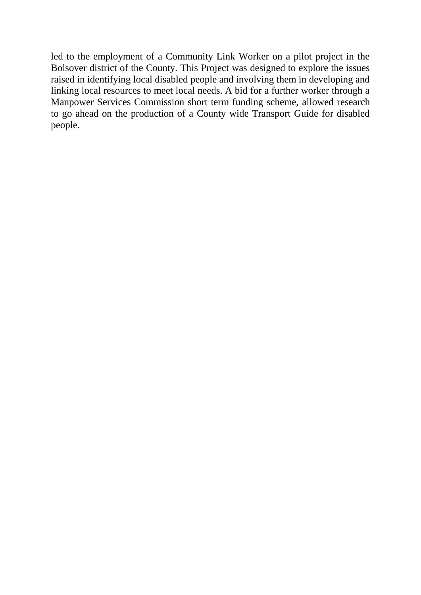led to the employment of a Community Link Worker on a pilot project in the Bolsover district of the County. This Project was designed to explore the issues raised in identifying local disabled people and involving them in developing and linking local resources to meet local needs. A bid for a further worker through a Manpower Services Commission short term funding scheme, allowed research to go ahead on the production of a County wide Transport Guide for disabled people.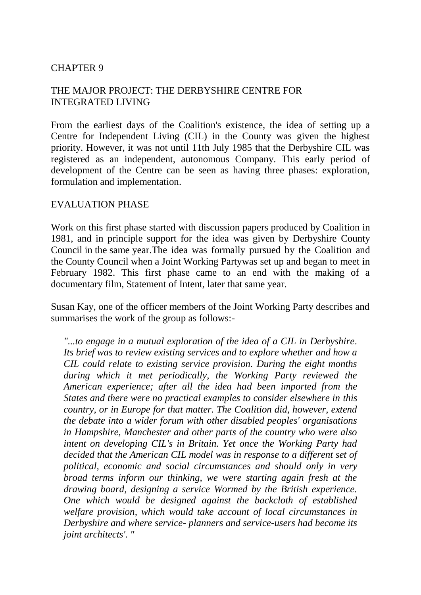# THE MAJOR PROJECT: THE DERBYSHIRE CENTRE FOR INTEGRATED LIVING

From the earliest days of the Coalition's existence, the idea of setting up a Centre for Independent Living (CIL) in the County was given the highest priority. However, it was not until 11th July 1985 that the Derbyshire CIL was registered as an independent, autonomous Company. This early period of development of the Centre can be seen as having three phases: exploration, formulation and implementation.

#### EVALUATION PHASE

Work on this first phase started with discussion papers produced by Coalition in 1981, and in principle support for the idea was given by Derbyshire County Council in the same year.The idea was formally pursued by the Coalition and the County Council when a Joint Working Partywas set up and began to meet in February 1982. This first phase came to an end with the making of a documentary film, Statement of Intent, later that same year.

Susan Kay, one of the officer members of the Joint Working Party describes and summarises the work of the group as follows:-

*"...to engage in a mutual exploration of the idea of a CIL in Derbyshire. Its brief was to review existing services and to explore whether and how a CIL could relate to existing service provision. During the eight months during which it met periodically, the Working Party reviewed the American experience; after all the idea had been imported from the States and there were no practical examples to consider elsewhere in this country, or in Europe for that matter. The Coalition did, however, extend the debate into a wider forum with other disabled peoples' organisations in Hampshire, Manchester and other parts of the country who were also intent on developing CIL's in Britain. Yet once the Working Party had decided that the American CIL model was in response to a different set of political, economic and social circumstances and should only in very broad terms inform our thinking, we were starting again fresh at the drawing board, designing a service Wormed by the British experience. One which would be designed against the backcloth of established welfare provision, which would take account of local circumstances in Derbyshire and where service- planners and service-users had become its joint architects'. "*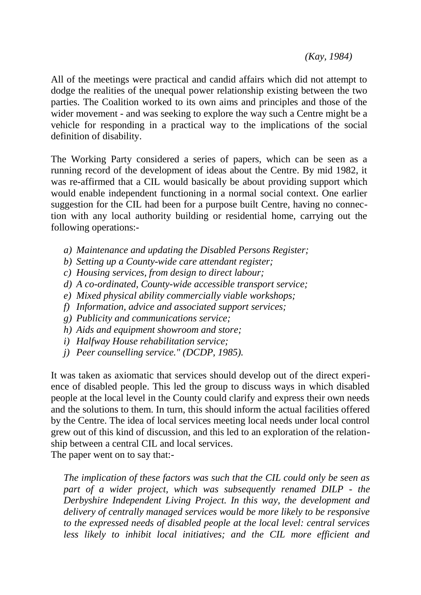*(Kay, 1984)* 

All of the meetings were practical and candid affairs which did not attempt to dodge the realities of the unequal power relationship existing between the two parties. The Coalition worked to its own aims and principles and those of the wider movement - and was seeking to explore the way such a Centre might be a vehicle for responding in a practical way to the implications of the social definition of disability.

The Working Party considered a series of papers, which can be seen as a running record of the development of ideas about the Centre. By mid 1982, it was re-affirmed that a CIL would basically be about providing support which would enable independent functioning in a normal social context. One earlier suggestion for the CIL had been for a purpose built Centre, having no connection with any local authority building or residential home, carrying out the following operations:-

- *a) Maintenance and updating the Disabled Persons Register;*
- *b) Setting up a County-wide care attendant register;*
- *c) Housing services, from design to direct labour;*
- *d) A co-ordinated, County-wide accessible transport service;*
- *e) Mixed physical ability commercially viable workshops;*
- *f) Information, advice and associated support services;*
- *g) Publicity and communications service;*
- *h) Aids and equipment showroom and store;*
- *i) Halfway House rehabilitation service;*
- *j) Peer counselling service." (DCDP, 1985).*

It was taken as axiomatic that services should develop out of the direct experience of disabled people. This led the group to discuss ways in which disabled people at the local level in the County could clarify and express their own needs and the solutions to them. In turn, this should inform the actual facilities offered by the Centre. The idea of local services meeting local needs under local control grew out of this kind of discussion, and this led to an exploration of the relationship between a central CIL and local services. The paper went on to say that:-

*The implication of these factors was such that the CIL could only be seen as part of a wider project, which was subsequently renamed DILP - the Derbyshire Independent Living Project. In this way, the development and delivery of centrally managed services would be more likely to be responsive to the expressed needs of disabled people at the local level: central services less likely to inhibit local initiatives; and the CIL more efficient and*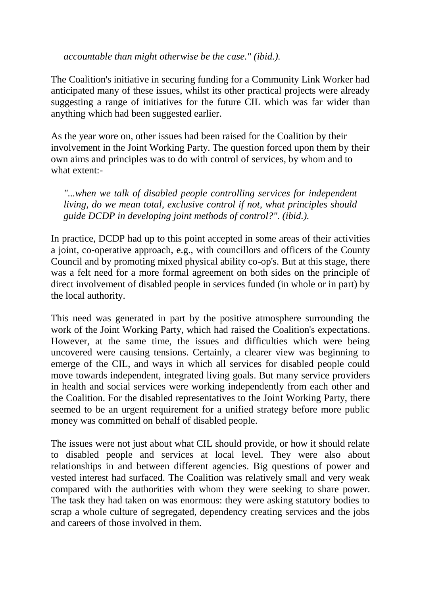*accountable than might otherwise be the case." (ibid.).* 

The Coalition's initiative in securing funding for a Community Link Worker had anticipated many of these issues, whilst its other practical projects were already suggesting a range of initiatives for the future CIL which was far wider than anything which had been suggested earlier.

As the year wore on, other issues had been raised for the Coalition by their involvement in the Joint Working Party. The question forced upon them by their own aims and principles was to do with control of services, by whom and to what extent:-

*"...when we talk of disabled people controlling services for independent living, do we mean total, exclusive control if not, what principles should guide DCDP in developing joint methods of control?". (ibid.).* 

In practice, DCDP had up to this point accepted in some areas of their activities a joint, co-operative approach, e.g., with councillors and officers of the County Council and by promoting mixed physical ability co-op's. But at this stage, there was a felt need for a more formal agreement on both sides on the principle of direct involvement of disabled people in services funded (in whole or in part) by the local authority.

This need was generated in part by the positive atmosphere surrounding the work of the Joint Working Party, which had raised the Coalition's expectations. However, at the same time, the issues and difficulties which were being uncovered were causing tensions. Certainly, a clearer view was beginning to emerge of the CIL, and ways in which all services for disabled people could move towards independent, integrated living goals. But many service providers in health and social services were working independently from each other and the Coalition. For the disabled representatives to the Joint Working Party, there seemed to be an urgent requirement for a unified strategy before more public money was committed on behalf of disabled people.

The issues were not just about what CIL should provide, or how it should relate to disabled people and services at local level. They were also about relationships in and between different agencies. Big questions of power and vested interest had surfaced. The Coalition was relatively small and very weak compared with the authorities with whom they were seeking to share power. The task they had taken on was enormous: they were asking statutory bodies to scrap a whole culture of segregated, dependency creating services and the jobs and careers of those involved in them.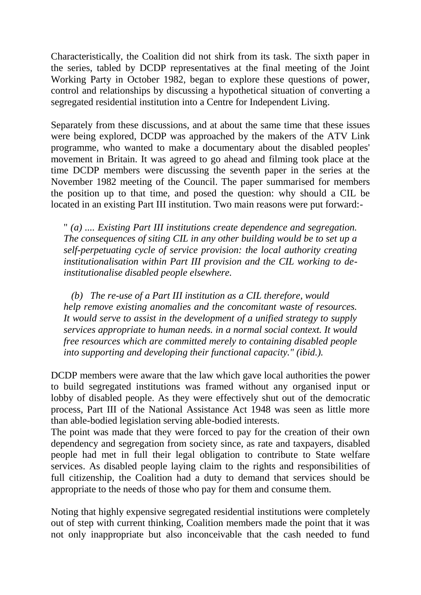Characteristically, the Coalition did not shirk from its task. The sixth paper in the series, tabled by DCDP representatives at the final meeting of the Joint Working Party in October 1982, began to explore these questions of power, control and relationships by discussing a hypothetical situation of converting a segregated residential institution into a Centre for Independent Living.

Separately from these discussions, and at about the same time that these issues were being explored, DCDP was approached by the makers of the ATV Link programme, who wanted to make a documentary about the disabled peoples' movement in Britain. It was agreed to go ahead and filming took place at the time DCDP members were discussing the seventh paper in the series at the November 1982 meeting of the Council. The paper summarised for members the position up to that time, and posed the question: why should a CIL be located in an existing Part III institution. Two main reasons were put forward:-

" *(a) .... Existing Part III institutions create dependence and segregation. The consequences of siting CIL in any other building would be to set up a self-perpetuating cycle of service provision: the local authority creating institutionalisation within Part III provision and the CIL working to deinstitutionalise disabled people elsewhere.* 

*(b) The re-use of a Part III institution as a CIL therefore, would help remove existing anomalies and the concomitant waste of resources. It would serve to assist in the development of a unified strategy to supply services appropriate to human needs. in a normal social context. It would free resources which are committed merely to containing disabled people into supporting and developing their functional capacity." (ibid.).* 

DCDP members were aware that the law which gave local authorities the power to build segregated institutions was framed without any organised input or lobby of disabled people. As they were effectively shut out of the democratic process, Part III of the National Assistance Act 1948 was seen as little more than able-bodied legislation serving able-bodied interests.

The point was made that they were forced to pay for the creation of their own dependency and segregation from society since, as rate and taxpayers, disabled people had met in full their legal obligation to contribute to State welfare services. As disabled people laying claim to the rights and responsibilities of full citizenship, the Coalition had a duty to demand that services should be appropriate to the needs of those who pay for them and consume them.

Noting that highly expensive segregated residential institutions were completely out of step with current thinking, Coalition members made the point that it was not only inappropriate but also inconceivable that the cash needed to fund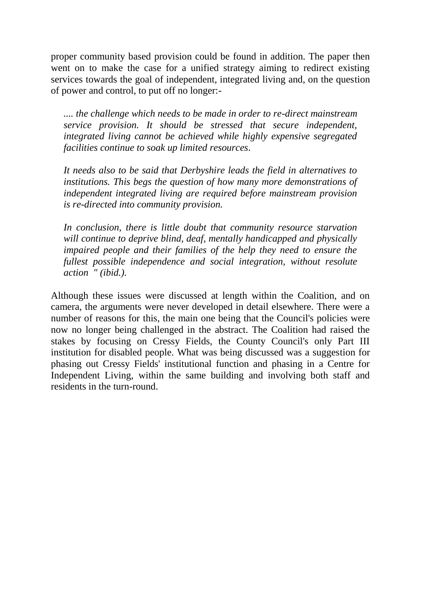proper community based provision could be found in addition. The paper then went on to make the case for a unified strategy aiming to redirect existing services towards the goal of independent, integrated living and, on the question of power and control, to put off no longer:-

*.... the challenge which needs to be made in order to re-direct mainstream service provision. It should be stressed that secure independent, integrated living cannot be achieved while highly expensive segregated facilities continue to soak up limited resources.* 

*It needs also to be said that Derbyshire leads the field in alternatives to institutions. This begs the question of how many more demonstrations of independent integrated living are required before mainstream provision is re-directed into community provision.* 

*In conclusion, there is little doubt that community resource starvation will continue to deprive blind, deaf, mentally handicapped and physically impaired people and their families of the help they need to ensure the fullest possible independence and social integration, without resolute action " (ibid.).* 

Although these issues were discussed at length within the Coalition, and on camera, the arguments were never developed in detail elsewhere. There were a number of reasons for this, the main one being that the Council's policies were now no longer being challenged in the abstract. The Coalition had raised the stakes by focusing on Cressy Fields, the County Council's only Part III institution for disabled people. What was being discussed was a suggestion for phasing out Cressy Fields' institutional function and phasing in a Centre for Independent Living, within the same building and involving both staff and residents in the turn-round.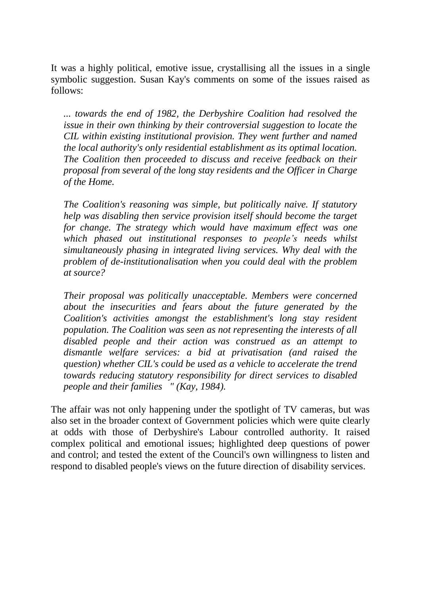It was a highly political, emotive issue, crystallising all the issues in a single symbolic suggestion. Susan Kay's comments on some of the issues raised as follows:

*... towards the end of 1982, the Derbyshire Coalition had resolved the issue in their own thinking by their controversial suggestion to locate the CIL within existing institutional provision. They went further and named the local authority's only residential establishment as its optimal location. The Coalition then proceeded to discuss and receive feedback on their proposal from several of the long stay residents and the Officer in Charge of the Home.* 

*The Coalition's reasoning was simple, but politically naive. If statutory help was disabling then service provision itself should become the target for change. The strategy which would have maximum effect was one which phased out institutional responses to people's needs whilst simultaneously phasing in integrated living services. Why deal with the problem of de-institutionalisation when you could deal with the problem at source?* 

*Their proposal was politically unacceptable. Members were concerned about the insecurities and fears about the future generated by the Coalition's activities amongst the establishment's long stay resident population. The Coalition was seen as not representing the interests of all disabled people and their action was construed as an attempt to dismantle welfare services: a bid at privatisation (and raised the question) whether CIL's could be used as a vehicle to accelerate the trend towards reducing statutory responsibility for direct services to disabled people and their families " (Kay, 1984).* 

The affair was not only happening under the spotlight of TV cameras, but was also set in the broader context of Government policies which were quite clearly at odds with those of Derbyshire's Labour controlled authority. It raised complex political and emotional issues; highlighted deep questions of power and control; and tested the extent of the Council's own willingness to listen and respond to disabled people's views on the future direction of disability services.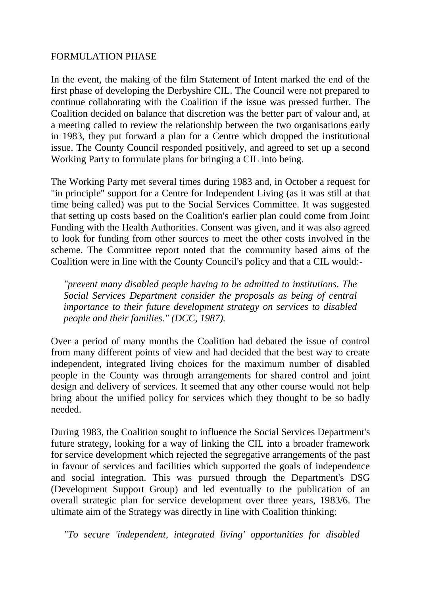### FORMULATION PHASE

In the event, the making of the film Statement of Intent marked the end of the first phase of developing the Derbyshire CIL. The Council were not prepared to continue collaborating with the Coalition if the issue was pressed further. The Coalition decided on balance that discretion was the better part of valour and, at a meeting called to review the relationship between the two organisations early in 1983, they put forward a plan for a Centre which dropped the institutional issue. The County Council responded positively, and agreed to set up a second Working Party to formulate plans for bringing a CIL into being.

The Working Party met several times during 1983 and, in October a request for "in principle" support for a Centre for Independent Living (as it was still at that time being called) was put to the Social Services Committee. It was suggested that setting up costs based on the Coalition's earlier plan could come from Joint Funding with the Health Authorities. Consent was given, and it was also agreed to look for funding from other sources to meet the other costs involved in the scheme. The Committee report noted that the community based aims of the Coalition were in line with the County Council's policy and that a CIL would:-

*"prevent many disabled people having to be admitted to institutions. The Social Services Department consider the proposals as being of central importance to their future development strategy on services to disabled people and their families." (DCC, 1987).* 

Over a period of many months the Coalition had debated the issue of control from many different points of view and had decided that the best way to create independent, integrated living choices for the maximum number of disabled people in the County was through arrangements for shared control and joint design and delivery of services. It seemed that any other course would not help bring about the unified policy for services which they thought to be so badly needed.

During 1983, the Coalition sought to influence the Social Services Department's future strategy, looking for a way of linking the CIL into a broader framework for service development which rejected the segregative arrangements of the past in favour of services and facilities which supported the goals of independence and social integration. This was pursued through the Department's DSG (Development Support Group) and led eventually to the publication of an overall strategic plan for service development over three years, 1983/6. The ultimate aim of the Strategy was directly in line with Coalition thinking:

*"To secure 'independent, integrated living' opportunities for disabled*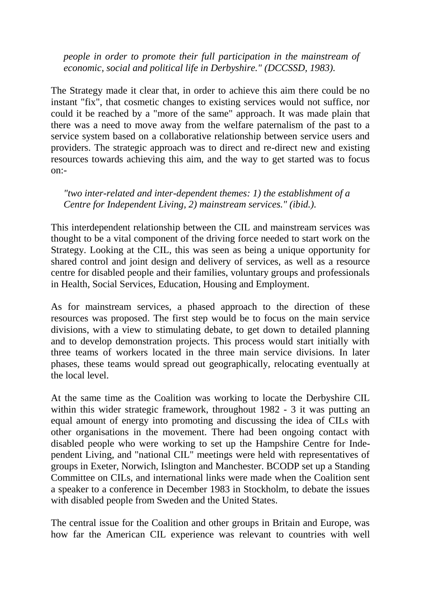*people in order to promote their full participation in the mainstream of economic, social and political life in Derbyshire." (DCCSSD, 1983).* 

The Strategy made it clear that, in order to achieve this aim there could be no instant "fix", that cosmetic changes to existing services would not suffice, nor could it be reached by a "more of the same" approach. It was made plain that there was a need to move away from the welfare paternalism of the past to a service system based on a collaborative relationship between service users and providers. The strategic approach was to direct and re-direct new and existing resources towards achieving this aim, and the way to get started was to focus on:-

*"two inter-related and inter-dependent themes: 1) the establishment of a Centre for Independent Living, 2) mainstream services." (ibid.).* 

This interdependent relationship between the CIL and mainstream services was thought to be a vital component of the driving force needed to start work on the Strategy. Looking at the CIL, this was seen as being a unique opportunity for shared control and joint design and delivery of services, as well as a resource centre for disabled people and their families, voluntary groups and professionals in Health, Social Services, Education, Housing and Employment.

As for mainstream services, a phased approach to the direction of these resources was proposed. The first step would be to focus on the main service divisions, with a view to stimulating debate, to get down to detailed planning and to develop demonstration projects. This process would start initially with three teams of workers located in the three main service divisions. In later phases, these teams would spread out geographically, relocating eventually at the local level.

At the same time as the Coalition was working to locate the Derbyshire CIL within this wider strategic framework, throughout 1982 - 3 it was putting an equal amount of energy into promoting and discussing the idea of CILs with other organisations in the movement. There had been ongoing contact with disabled people who were working to set up the Hampshire Centre for Independent Living, and "national CIL" meetings were held with representatives of groups in Exeter, Norwich, Islington and Manchester. BCODP set up a Standing Committee on CILs, and international links were made when the Coalition sent a speaker to a conference in December 1983 in Stockholm, to debate the issues with disabled people from Sweden and the United States.

The central issue for the Coalition and other groups in Britain and Europe, was how far the American CIL experience was relevant to countries with well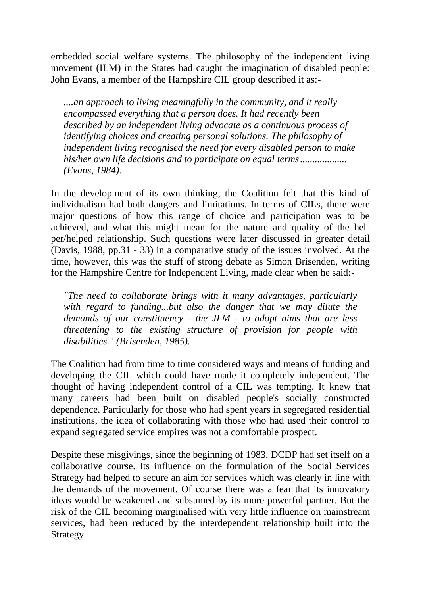embedded social welfare systems. The philosophy of the independent living movement (ILM) in the States had caught the imagination of disabled people: John Evans, a member of the Hampshire CIL group described it as:-

*....an approach to living meaningfully in the community, and it really encompassed everything that a person does. It had recently been described by an independent living advocate as a continuous process of identifying choices and creating personal solutions. The philosophy of independent living recognised the need for every disabled person to make his/her own life decisions and to participate on equal terms ................... (Evans, 1984).* 

In the development of its own thinking, the Coalition felt that this kind of individualism had both dangers and limitations. In terms of CILs, there were major questions of how this range of choice and participation was to be achieved, and what this might mean for the nature and quality of the helper/helped relationship. Such questions were later discussed in greater detail (Davis, 1988, pp.31 - 33) in a comparative study of the issues involved. At the time, however, this was the stuff of strong debate as Simon Brisenden, writing for the Hampshire Centre for Independent Living, made clear when he said:-

*"The need to collaborate brings with it many advantages, particularly*  with regard to funding...but also the danger that we may dilute the *demands of our constituency - the JLM - to adopt aims that are less threatening to the existing structure of provision for people with disabilities." (Brisenden, 1985).* 

The Coalition had from time to time considered ways and means of funding and developing the CIL which could have made it completely independent. The thought of having independent control of a CIL was tempting. It knew that many careers had been built on disabled people's socially constructed dependence. Particularly for those who had spent years in segregated residential institutions, the idea of collaborating with those who had used their control to expand segregated service empires was not a comfortable prospect.

Despite these misgivings, since the beginning of 1983, DCDP had set itself on a collaborative course. Its influence on the formulation of the Social Services Strategy had helped to secure an aim for services which was clearly in line with the demands of the movement. Of course there was a fear that its innovatory ideas would be weakened and subsumed by its more powerful partner. But the risk of the CIL becoming marginalised with very little influence on mainstream services, had been reduced by the interdependent relationship built into the Strategy.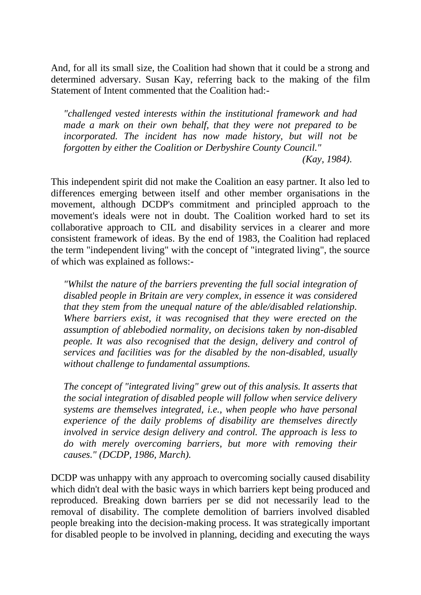And, for all its small size, the Coalition had shown that it could be a strong and determined adversary. Susan Kay, referring back to the making of the film Statement of Intent commented that the Coalition had:-

*"challenged vested interests within the institutional framework and had made a mark on their own behalf, that they were not prepared to be incorporated. The incident has now made history, but will not be forgotten by either the Coalition or Derbyshire County Council." (Kay, 1984).* 

This independent spirit did not make the Coalition an easy partner. It also led to differences emerging between itself and other member organisations in the movement, although DCDP's commitment and principled approach to the movement's ideals were not in doubt. The Coalition worked hard to set its collaborative approach to CIL and disability services in a clearer and more consistent framework of ideas. By the end of 1983, the Coalition had replaced the term "independent living" with the concept of "integrated living", the source of which was explained as follows:-

*"Whilst the nature of the barriers preventing the full social integration of disabled people in Britain are very complex, in essence it was considered that they stem from the unequal nature of the able/disabled relationship. Where barriers exist, it was recognised that they were erected on the assumption of ablebodied normality, on decisions taken by non-disabled people. It was also recognised that the design, delivery and control of services and facilities was for the disabled by the non-disabled, usually without challenge to fundamental assumptions.* 

*The concept of "integrated living" grew out of this analysis. It asserts that the social integration of disabled people will follow when service delivery systems are themselves integrated, i.e., when people who have personal experience of the daily problems of disability are themselves directly involved in service design delivery and control. The approach is less to do with merely overcoming barriers, but more with removing their causes." (DCDP, 1986, March).* 

DCDP was unhappy with any approach to overcoming socially caused disability which didn't deal with the basic ways in which barriers kept being produced and reproduced. Breaking down barriers per se did not necessarily lead to the removal of disability. The complete demolition of barriers involved disabled people breaking into the decision-making process. It was strategically important for disabled people to be involved in planning, deciding and executing the ways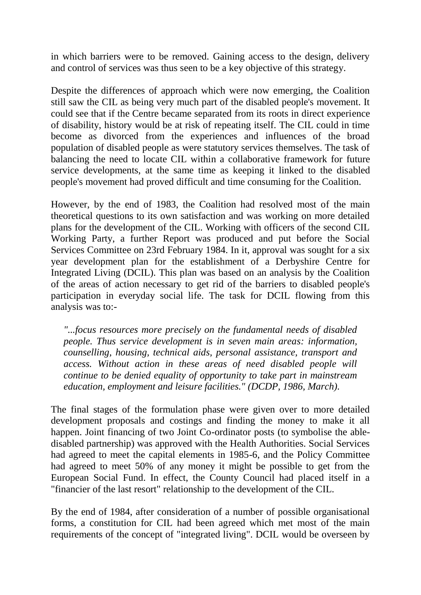in which barriers were to be removed. Gaining access to the design, delivery and control of services was thus seen to be a key objective of this strategy.

Despite the differences of approach which were now emerging, the Coalition still saw the CIL as being very much part of the disabled people's movement. It could see that if the Centre became separated from its roots in direct experience of disability, history would be at risk of repeating itself. The CIL could in time become as divorced from the experiences and influences of the broad population of disabled people as were statutory services themselves. The task of balancing the need to locate CIL within a collaborative framework for future service developments, at the same time as keeping it linked to the disabled people's movement had proved difficult and time consuming for the Coalition.

However, by the end of 1983, the Coalition had resolved most of the main theoretical questions to its own satisfaction and was working on more detailed plans for the development of the CIL. Working with officers of the second CIL Working Party, a further Report was produced and put before the Social Services Committee on 23rd February 1984. In it, approval was sought for a six year development plan for the establishment of a Derbyshire Centre for Integrated Living (DCIL). This plan was based on an analysis by the Coalition of the areas of action necessary to get rid of the barriers to disabled people's participation in everyday social life. The task for DCIL flowing from this analysis was to:-

*"...focus resources more precisely on the fundamental needs of disabled people. Thus service development is in seven main areas: information, counselling, housing, technical aids, personal assistance, transport and access. Without action in these areas of need disabled people will continue to be denied equality of opportunity to take part in mainstream education, employment and leisure facilities." (DCDP, 1986, March).* 

The final stages of the formulation phase were given over to more detailed development proposals and costings and finding the money to make it all happen. Joint financing of two Joint Co-ordinator posts (to symbolise the abledisabled partnership) was approved with the Health Authorities. Social Services had agreed to meet the capital elements in 1985-6, and the Policy Committee had agreed to meet 50% of any money it might be possible to get from the European Social Fund. In effect, the County Council had placed itself in a "financier of the last resort" relationship to the development of the CIL.

By the end of 1984, after consideration of a number of possible organisational forms, a constitution for CIL had been agreed which met most of the main requirements of the concept of "integrated living". DCIL would be overseen by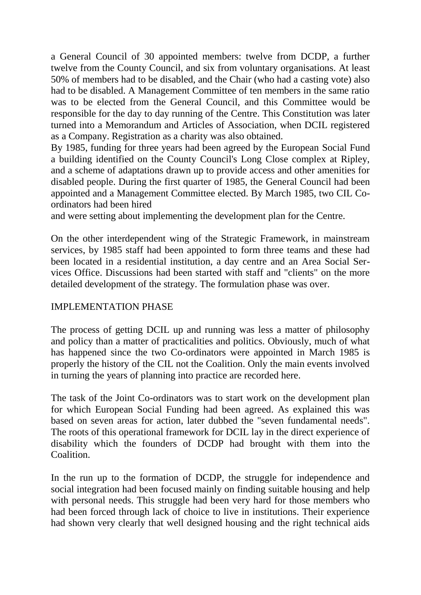a General Council of 30 appointed members: twelve from DCDP, a further twelve from the County Council, and six from voluntary organisations. At least 50% of members had to be disabled, and the Chair (who had a casting vote) also had to be disabled. A Management Committee of ten members in the same ratio was to be elected from the General Council, and this Committee would be responsible for the day to day running of the Centre. This Constitution was later turned into a Memorandum and Articles of Association, when DCIL registered as a Company. Registration as a charity was also obtained.

By 1985, funding for three years had been agreed by the European Social Fund a building identified on the County Council's Long Close complex at Ripley, and a scheme of adaptations drawn up to provide access and other amenities for disabled people. During the first quarter of 1985, the General Council had been appointed and a Management Committee elected. By March 1985, two CIL Coordinators had been hired

and were setting about implementing the development plan for the Centre.

On the other interdependent wing of the Strategic Framework, in mainstream services, by 1985 staff had been appointed to form three teams and these had been located in a residential institution, a day centre and an Area Social Services Office. Discussions had been started with staff and "clients" on the more detailed development of the strategy. The formulation phase was over.

# IMPLEMENTATION PHASE

The process of getting DCIL up and running was less a matter of philosophy and policy than a matter of practicalities and politics. Obviously, much of what has happened since the two Co-ordinators were appointed in March 1985 is properly the history of the CIL not the Coalition. Only the main events involved in turning the years of planning into practice are recorded here.

The task of the Joint Co-ordinators was to start work on the development plan for which European Social Funding had been agreed. As explained this was based on seven areas for action, later dubbed the "seven fundamental needs". The roots of this operational framework for DCIL lay in the direct experience of disability which the founders of DCDP had brought with them into the Coalition.

In the run up to the formation of DCDP, the struggle for independence and social integration had been focused mainly on finding suitable housing and help with personal needs. This struggle had been very hard for those members who had been forced through lack of choice to live in institutions. Their experience had shown very clearly that well designed housing and the right technical aids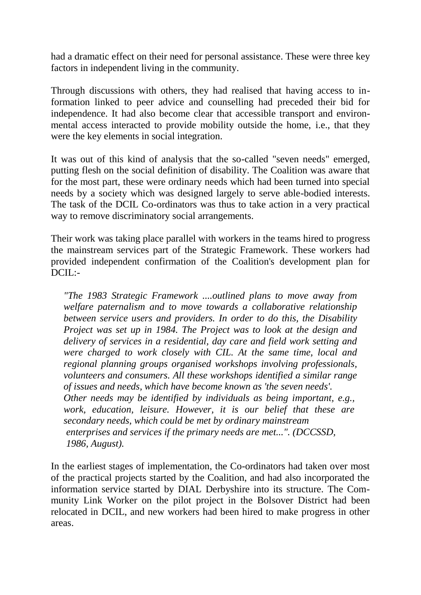had a dramatic effect on their need for personal assistance. These were three key factors in independent living in the community.

Through discussions with others, they had realised that having access to information linked to peer advice and counselling had preceded their bid for independence. It had also become clear that accessible transport and environmental access interacted to provide mobility outside the home, i.e., that they were the key elements in social integration.

It was out of this kind of analysis that the so-called "seven needs" emerged, putting flesh on the social definition of disability. The Coalition was aware that for the most part, these were ordinary needs which had been turned into special needs by a society which was designed largely to serve able-bodied interests. The task of the DCIL Co-ordinators was thus to take action in a very practical way to remove discriminatory social arrangements.

Their work was taking place parallel with workers in the teams hired to progress the mainstream services part of the Strategic Framework. These workers had provided independent confirmation of the Coalition's development plan for DCIL:-

*"The 1983 Strategic Framework ....outlined plans to move away from welfare paternalism and to move towards a collaborative relationship between service users and providers. In order to do this, the Disability Project was set up in 1984. The Project was to look at the design and delivery of services in a residential, day care and field work setting and were charged to work closely with CIL. At the same time, local and regional planning groups organised workshops involving professionals, volunteers and consumers. All these workshops identified a similar range of issues and needs, which have become known as 'the seven needs'. Other needs may be identified by individuals as being important, e.g., work, education, leisure. However, it is our belief that these are secondary needs, which could be met by ordinary mainstream enterprises and services if the primary needs are met...". (DCCSSD, 1986, August).* 

In the earliest stages of implementation, the Co-ordinators had taken over most of the practical projects started by the Coalition, and had also incorporated the information service started by DIAL Derbyshire into its structure. The Community Link Worker on the pilot project in the Bolsover District had been relocated in DCIL, and new workers had been hired to make progress in other areas.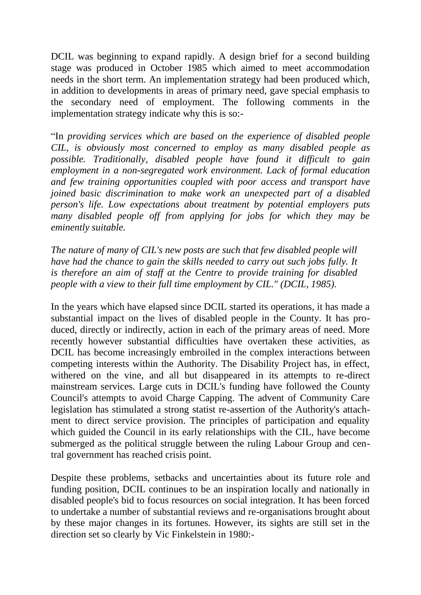DCIL was beginning to expand rapidly. A design brief for a second building stage was produced in October 1985 which aimed to meet accommodation needs in the short term. An implementation strategy had been produced which, in addition to developments in areas of primary need, gave special emphasis to the secondary need of employment. The following comments in the implementation strategy indicate why this is so:-

"In *providing services which are based on the experience of disabled people CIL, is obviously most concerned to employ as many disabled people as possible. Traditionally, disabled people have found it difficult to gain employment in a non-segregated work environment. Lack of formal education and few training opportunities coupled with poor access and transport have joined basic discrimination to make work an unexpected part of a disabled person's life. Low expectations about treatment by potential employers puts many disabled people off from applying for jobs for which they may be eminently suitable.* 

*The nature of many of CIL's new posts are such that few disabled people will have had the chance to gain the skills needed to carry out such jobs fully. It is therefore an aim of staff at the Centre to provide training for disabled people with a view to their full time employment by CIL." (DCIL, 1985).* 

In the years which have elapsed since DCIL started its operations, it has made a substantial impact on the lives of disabled people in the County. It has produced, directly or indirectly, action in each of the primary areas of need. More recently however substantial difficulties have overtaken these activities, as DCIL has become increasingly embroiled in the complex interactions between competing interests within the Authority. The Disability Project has, in effect, withered on the vine, and all but disappeared in its attempts to re-direct mainstream services. Large cuts in DCIL's funding have followed the County Council's attempts to avoid Charge Capping. The advent of Community Care legislation has stimulated a strong statist re-assertion of the Authority's attachment to direct service provision. The principles of participation and equality which guided the Council in its early relationships with the CIL, have become submerged as the political struggle between the ruling Labour Group and central government has reached crisis point.

Despite these problems, setbacks and uncertainties about its future role and funding position, DCIL continues to be an inspiration locally and nationally in disabled people's bid to focus resources on social integration. It has been forced to undertake a number of substantial reviews and re-organisations brought about by these major changes in its fortunes. However, its sights are still set in the direction set so clearly by Vic Finkelstein in 1980:-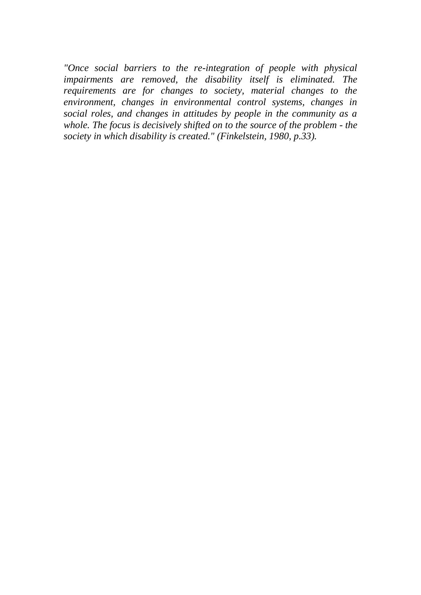*"Once social barriers to the re-integration of people with physical impairments are removed, the disability itself is eliminated. The requirements are for changes to society, material changes to the environment, changes in environmental control systems, changes in social roles, and changes in attitudes by people in the community as a whole. The focus is decisively shifted on to the source of the problem - the society in which disability is created." (Finkelstein, 1980, p.33).*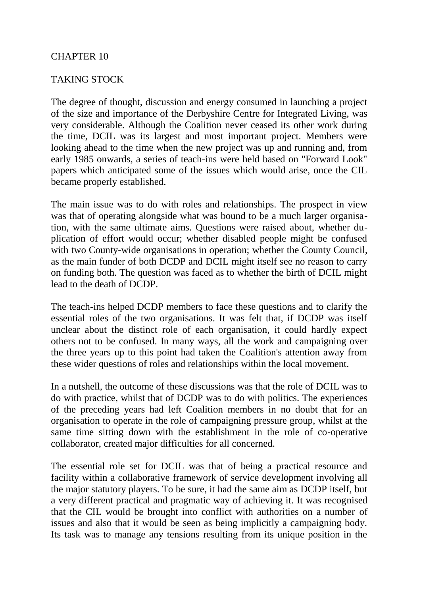# CHAPTER 10

# TAKING STOCK

The degree of thought, discussion and energy consumed in launching a project of the size and importance of the Derbyshire Centre for Integrated Living, was very considerable. Although the Coalition never ceased its other work during the time, DCIL was its largest and most important project. Members were looking ahead to the time when the new project was up and running and, from early 1985 onwards, a series of teach-ins were held based on "Forward Look" papers which anticipated some of the issues which would arise, once the CIL became properly established.

The main issue was to do with roles and relationships. The prospect in view was that of operating alongside what was bound to be a much larger organisation, with the same ultimate aims. Questions were raised about, whether duplication of effort would occur; whether disabled people might be confused with two County-wide organisations in operation; whether the County Council, as the main funder of both DCDP and DCIL might itself see no reason to carry on funding both. The question was faced as to whether the birth of DCIL might lead to the death of DCDP.

The teach-ins helped DCDP members to face these questions and to clarify the essential roles of the two organisations. It was felt that, if DCDP was itself unclear about the distinct role of each organisation, it could hardly expect others not to be confused. In many ways, all the work and campaigning over the three years up to this point had taken the Coalition's attention away from these wider questions of roles and relationships within the local movement.

In a nutshell, the outcome of these discussions was that the role of DCIL was to do with practice, whilst that of DCDP was to do with politics. The experiences of the preceding years had left Coalition members in no doubt that for an organisation to operate in the role of campaigning pressure group, whilst at the same time sitting down with the establishment in the role of co-operative collaborator, created major difficulties for all concerned.

The essential role set for DCIL was that of being a practical resource and facility within a collaborative framework of service development involving all the major statutory players. To be sure, it had the same aim as DCDP itself, but a very different practical and pragmatic way of achieving it. It was recognised that the CIL would be brought into conflict with authorities on a number of issues and also that it would be seen as being implicitly a campaigning body. Its task was to manage any tensions resulting from its unique position in the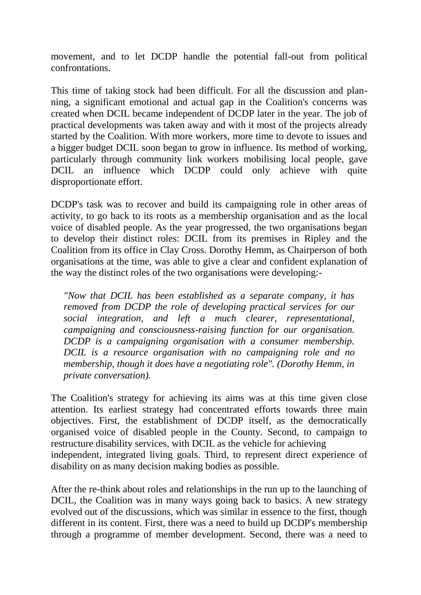movement, and to let DCDP handle the potential fall-out from political confrontations.

This time of taking stock had been difficult. For all the discussion and planning, a significant emotional and actual gap in the Coalition's concerns was created when DCIL became independent of DCDP later in the year. The job of practical developments was taken away and with it most of the projects already started by the Coalition. With more workers, more time to devote to issues and a bigger budget DCIL soon began to grow in influence. Its method of working, particularly through community link workers mobilising local people, gave DCIL an influence which DCDP could only achieve with quite disproportionate effort.

DCDP's task was to recover and build its campaigning role in other areas of activity, to go back to its roots as a membership organisation and as the local voice of disabled people. As the year progressed, the two organisations began to develop their distinct roles: DCIL from its premises in Ripley and the Coalition from its office in Clay Cross. Dorothy Hemm, as Chairperson of both organisations at the time, was able to give a clear and confident explanation of the way the distinct roles of the two organisations were developing:-

*"Now that DCIL has been established as a separate company, it has removed from DCDP the role of developing practical services for our social integration, and left a much clearer, representational, campaigning and consciousness-raising function for our organisation. DCDP is a campaigning organisation with a consumer membership. DCIL is a resource organisation with no campaigning role and no membership, though it does have a negotiating role". (Dorothy Hemm, in private conversation).* 

The Coalition's strategy for achieving its aims was at this time given close attention. Its earliest strategy had concentrated efforts towards three main objectives. First, the establishment of DCDP itself, as the democratically organised voice of disabled people in the County. Second, to campaign to restructure disability services, with DCIL as the vehicle for achieving independent, integrated living goals. Third, to represent direct experience of disability on as many decision making bodies as possible.

After the re-think about roles and relationships in the run up to the launching of DCIL, the Coalition was in many ways going back to basics. A new strategy evolved out of the discussions, which was similar in essence to the first, though different in its content. First, there was a need to build up DCDP's membership through a programme of member development. Second, there was a need to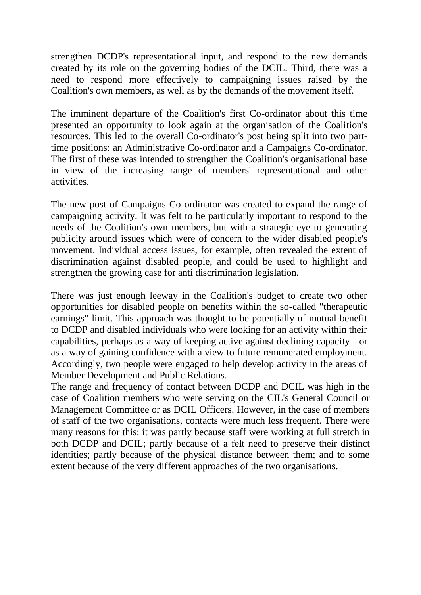strengthen DCDP's representational input, and respond to the new demands created by its role on the governing bodies of the DCIL. Third, there was a need to respond more effectively to campaigning issues raised by the Coalition's own members, as well as by the demands of the movement itself.

The imminent departure of the Coalition's first Co-ordinator about this time presented an opportunity to look again at the organisation of the Coalition's resources. This led to the overall Co-ordinator's post being split into two parttime positions: an Administrative Co-ordinator and a Campaigns Co-ordinator. The first of these was intended to strengthen the Coalition's organisational base in view of the increasing range of members' representational and other activities.

The new post of Campaigns Co-ordinator was created to expand the range of campaigning activity. It was felt to be particularly important to respond to the needs of the Coalition's own members, but with a strategic eye to generating publicity around issues which were of concern to the wider disabled people's movement. Individual access issues, for example, often revealed the extent of discrimination against disabled people, and could be used to highlight and strengthen the growing case for anti discrimination legislation.

There was just enough leeway in the Coalition's budget to create two other opportunities for disabled people on benefits within the so-called "therapeutic earnings" limit. This approach was thought to be potentially of mutual benefit to DCDP and disabled individuals who were looking for an activity within their capabilities, perhaps as a way of keeping active against declining capacity - or as a way of gaining confidence with a view to future remunerated employment. Accordingly, two people were engaged to help develop activity in the areas of Member Development and Public Relations.

The range and frequency of contact between DCDP and DCIL was high in the case of Coalition members who were serving on the CIL's General Council or Management Committee or as DCIL Officers. However, in the case of members of staff of the two organisations, contacts were much less frequent. There were many reasons for this: it was partly because staff were working at full stretch in both DCDP and DCIL; partly because of a felt need to preserve their distinct identities; partly because of the physical distance between them; and to some extent because of the very different approaches of the two organisations.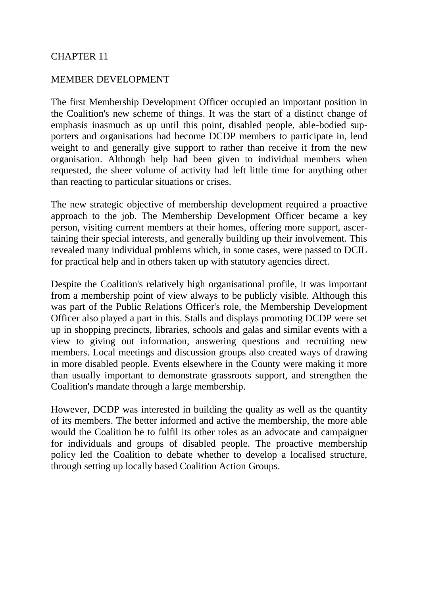# CHAPTER 11

#### MEMBER DEVELOPMENT

The first Membership Development Officer occupied an important position in the Coalition's new scheme of things. It was the start of a distinct change of emphasis inasmuch as up until this point, disabled people, able-bodied supporters and organisations had become DCDP members to participate in, lend weight to and generally give support to rather than receive it from the new organisation. Although help had been given to individual members when requested, the sheer volume of activity had left little time for anything other than reacting to particular situations or crises.

The new strategic objective of membership development required a proactive approach to the job. The Membership Development Officer became a key person, visiting current members at their homes, offering more support, ascertaining their special interests, and generally building up their involvement. This revealed many individual problems which, in some cases, were passed to DCIL for practical help and in others taken up with statutory agencies direct.

Despite the Coalition's relatively high organisational profile, it was important from a membership point of view always to be publicly visible. Although this was part of the Public Relations Officer's role, the Membership Development Officer also played a part in this. Stalls and displays promoting DCDP were set up in shopping precincts, libraries, schools and galas and similar events with a view to giving out information, answering questions and recruiting new members. Local meetings and discussion groups also created ways of drawing in more disabled people. Events elsewhere in the County were making it more than usually important to demonstrate grassroots support, and strengthen the Coalition's mandate through a large membership.

However, DCDP was interested in building the quality as well as the quantity of its members. The better informed and active the membership, the more able would the Coalition be to fulfil its other roles as an advocate and campaigner for individuals and groups of disabled people. The proactive membership policy led the Coalition to debate whether to develop a localised structure, through setting up locally based Coalition Action Groups.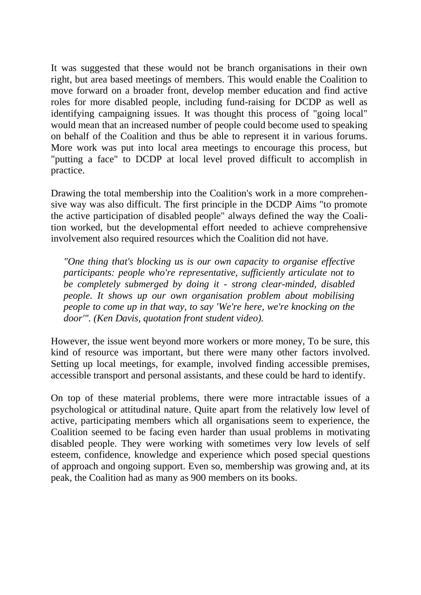It was suggested that these would not be branch organisations in their own right, but area based meetings of members. This would enable the Coalition to move forward on a broader front, develop member education and find active roles for more disabled people, including fund-raising for DCDP as well as identifying campaigning issues. It was thought this process of "going local" would mean that an increased number of people could become used to speaking on behalf of the Coalition and thus be able to represent it in various forums. More work was put into local area meetings to encourage this process, but "putting a face" to DCDP at local level proved difficult to accomplish in practice.

Drawing the total membership into the Coalition's work in a more comprehensive way was also difficult. The first principle in the DCDP Aims "to promote the active participation of disabled people" always defined the way the Coalition worked, but the developmental effort needed to achieve comprehensive involvement also required resources which the Coalition did not have.

*"One thing that's blocking us is our own capacity to organise effective participants: people who're representative, sufficiently articulate not to be completely submerged by doing it - strong clear-minded, disabled people. It shows up our own organisation problem about mobilising people to come up in that way, to say 'We're here, we're knocking on the door'". (Ken Davis, quotation front student video).* 

However, the issue went beyond more workers or more money, To be sure, this kind of resource was important, but there were many other factors involved. Setting up local meetings, for example, involved finding accessible premises, accessible transport and personal assistants, and these could be hard to identify.

On top of these material problems, there were more intractable issues of a psychological or attitudinal nature. Quite apart from the relatively low level of active, participating members which all organisations seem to experience, the Coalition seemed to be facing even harder than usual problems in motivating disabled people. They were working with sometimes very low levels of self esteem, confidence, knowledge and experience which posed special questions of approach and ongoing support. Even so, membership was growing and, at its peak, the Coalition had as many as 900 members on its books.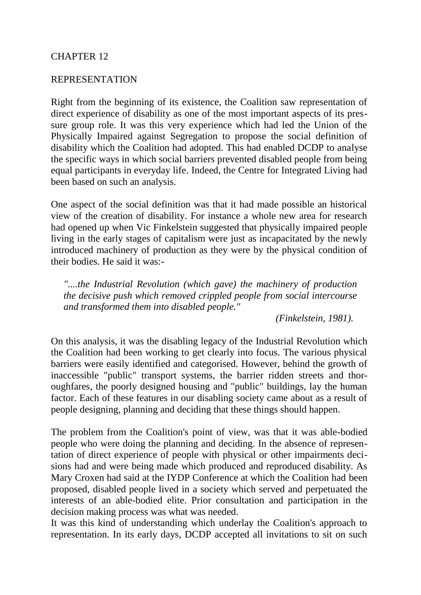#### CHAPTER 12

#### REPRESENTATION

Right from the beginning of its existence, the Coalition saw representation of direct experience of disability as one of the most important aspects of its pressure group role. It was this very experience which had led the Union of the Physically Impaired against Segregation to propose the social definition of disability which the Coalition had adopted. This had enabled DCDP to analyse the specific ways in which social barriers prevented disabled people from being equal participants in everyday life. Indeed, the Centre for Integrated Living had been based on such an analysis.

One aspect of the social definition was that it had made possible an historical view of the creation of disability. For instance a whole new area for research had opened up when Vic Finkelstein suggested that physically impaired people living in the early stages of capitalism were just as incapacitated by the newly introduced machinery of production as they were by the physical condition of their bodies. He said it was:-

*"....the Industrial Revolution (which gave) the machinery of production the decisive push which removed crippled people from social intercourse and transformed them into disabled people."* 

*(Finkelstein, 1981).* 

On this analysis, it was the disabling legacy of the Industrial Revolution which the Coalition had been working to get clearly into focus. The various physical barriers were easily identified and categorised. However, behind the growth of inaccessible "public" transport systems, the barrier ridden streets and thoroughfares, the poorly designed housing and "public" buildings, lay the human factor. Each of these features in our disabling society came about as a result of people designing, planning and deciding that these things should happen.

The problem from the Coalition's point of view, was that it was able-bodied people who were doing the planning and deciding. In the absence of representation of direct experience of people with physical or other impairments decisions had and were being made which produced and reproduced disability. As Mary Croxen had said at the IYDP Conference at which the Coalition had been proposed, disabled people lived in a society which served and perpetuated the interests of an able-bodied elite. Prior consultation and participation in the decision making process was what was needed.

It was this kind of understanding which underlay the Coalition's approach to representation. In its early days, DCDP accepted all invitations to sit on such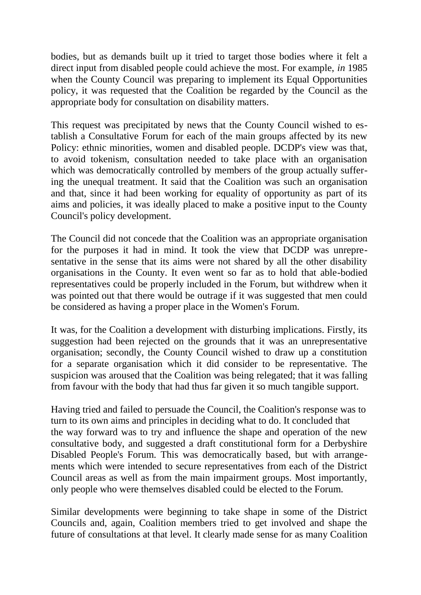bodies, but as demands built up it tried to target those bodies where it felt a direct input from disabled people could achieve the most. For example, *in* 1985 when the County Council was preparing to implement its Equal Opportunities policy, it was requested that the Coalition be regarded by the Council as the appropriate body for consultation on disability matters.

This request was precipitated by news that the County Council wished to establish a Consultative Forum for each of the main groups affected by its new Policy: ethnic minorities, women and disabled people. DCDP's view was that, to avoid tokenism, consultation needed to take place with an organisation which was democratically controlled by members of the group actually suffering the unequal treatment. It said that the Coalition was such an organisation and that, since it had been working for equality of opportunity as part of its aims and policies, it was ideally placed to make a positive input to the County Council's policy development.

The Council did not concede that the Coalition was an appropriate organisation for the purposes it had in mind. It took the view that DCDP was unrepresentative in the sense that its aims were not shared by all the other disability organisations in the County. It even went so far as to hold that able-bodied representatives could be properly included in the Forum, but withdrew when it was pointed out that there would be outrage if it was suggested that men could be considered as having a proper place in the Women's Forum.

It was, for the Coalition a development with disturbing implications. Firstly, its suggestion had been rejected on the grounds that it was an unrepresentative organisation; secondly, the County Council wished to draw up a constitution for a separate organisation which it did consider to be representative. The suspicion was aroused that the Coalition was being relegated; that it was falling from favour with the body that had thus far given it so much tangible support.

Having tried and failed to persuade the Council, the Coalition's response was to turn to its own aims and principles in deciding what to do. It concluded that the way forward was to try and influence the shape and operation of the new consultative body, and suggested a draft constitutional form for a Derbyshire Disabled People's Forum. This was democratically based, but with arrangements which were intended to secure representatives from each of the District Council areas as well as from the main impairment groups. Most importantly, only people who were themselves disabled could be elected to the Forum.

Similar developments were beginning to take shape in some of the District Councils and, again, Coalition members tried to get involved and shape the future of consultations at that level. It clearly made sense for as many Coalition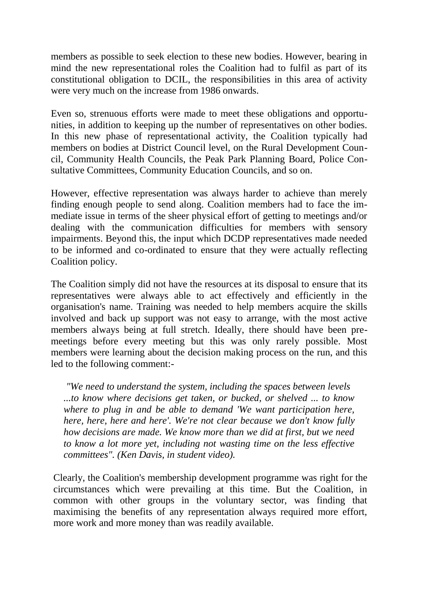members as possible to seek election to these new bodies. However, bearing in mind the new representational roles the Coalition had to fulfil as part of its constitutional obligation to DCIL, the responsibilities in this area of activity were very much on the increase from 1986 onwards.

Even so, strenuous efforts were made to meet these obligations and opportunities, in addition to keeping up the number of representatives on other bodies. In this new phase of representational activity, the Coalition typically had members on bodies at District Council level, on the Rural Development Council, Community Health Councils, the Peak Park Planning Board, Police Consultative Committees, Community Education Councils, and so on.

However, effective representation was always harder to achieve than merely finding enough people to send along. Coalition members had to face the immediate issue in terms of the sheer physical effort of getting to meetings and/or dealing with the communication difficulties for members with sensory impairments. Beyond this, the input which DCDP representatives made needed to be informed and co-ordinated to ensure that they were actually reflecting Coalition policy.

The Coalition simply did not have the resources at its disposal to ensure that its representatives were always able to act effectively and efficiently in the organisation's name. Training was needed to help members acquire the skills involved and back up support was not easy to arrange, with the most active members always being at full stretch. Ideally, there should have been premeetings before every meeting but this was only rarely possible. Most members were learning about the decision making process on the run, and this led to the following comment:-

*"We need to understand the system, including the spaces between levels ...to know where decisions get taken, or bucked, or shelved ... to know where to plug in and be able to demand 'We want participation here, here, here, here and here'. We're not clear because we don't know fully how decisions are made. We know more than we did at first, but we need to know a lot more yet, including not wasting time on the less effective committees". (Ken Davis, in student video).* 

Clearly, the Coalition's membership development programme was right for the circumstances which were prevailing at this time. But the Coalition, in common with other groups in the voluntary sector, was finding that maximising the benefits of any representation always required more effort, more work and more money than was readily available.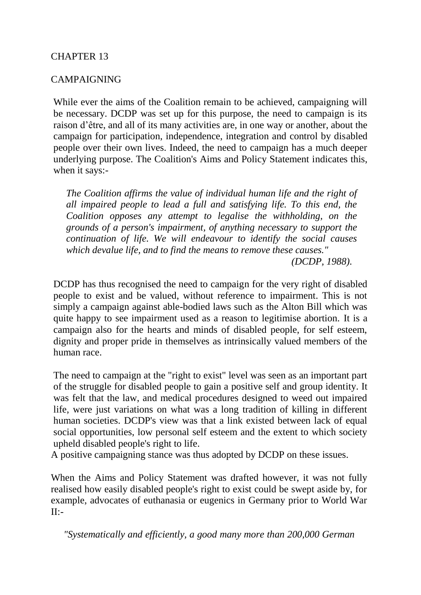# CHAPTER 13

#### CAMPAIGNING

While ever the aims of the Coalition remain to be achieved, campaigning will be necessary. DCDP was set up for this purpose, the need to campaign is its raison d'être, and all of its many activities are, in one way or another, about the campaign for participation, independence, integration and control by disabled people over their own lives. Indeed, the need to campaign has a much deeper underlying purpose. The Coalition's Aims and Policy Statement indicates this, when it says:-

*The Coalition affirms the value of individual human life and the right of all impaired people to lead a full and satisfying life. To this end, the Coalition opposes any attempt to legalise the withholding, on the grounds of a person's impairment, of anything necessary to support the continuation of life. We will endeavour to identify the social causes which devalue life, and to find the means to remove these causes."* 

*(DCDP, 1988).* 

DCDP has thus recognised the need to campaign for the very right of disabled people to exist and be valued, without reference to impairment. This is not simply a campaign against able-bodied laws such as the Alton Bill which was quite happy to see impairment used as a reason to legitimise abortion. It is a campaign also for the hearts and minds of disabled people, for self esteem, dignity and proper pride in themselves as intrinsically valued members of the human race.

The need to campaign at the "right to exist" level was seen as an important part of the struggle for disabled people to gain a positive self and group identity. It was felt that the law, and medical procedures designed to weed out impaired life, were just variations on what was a long tradition of killing in different human societies. DCDP's view was that a link existed between lack of equal social opportunities, low personal self esteem and the extent to which society upheld disabled people's right to life.

A positive campaigning stance was thus adopted by DCDP on these issues.

When the Aims and Policy Statement was drafted however, it was not fully realised how easily disabled people's right to exist could be swept aside by, for example, advocates of euthanasia or eugenics in Germany prior to World War  $II:-$ 

*"Systematically and efficiently, a good many more than 200,000 German*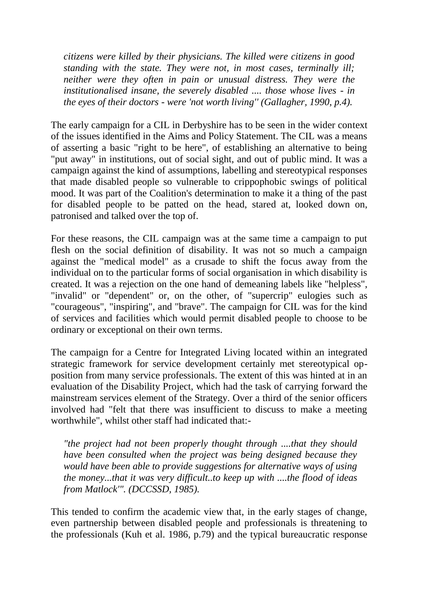*citizens were killed by their physicians. The killed were citizens in good standing with the state. They were not, in most cases, terminally ill; neither were they often in pain or unusual distress. They were the institutionalised insane, the severely disabled .... those whose lives - in the eyes of their doctors - were 'not worth living'' (Gallagher, 1990, p.4).* 

The early campaign for a CIL in Derbyshire has to be seen in the wider context of the issues identified in the Aims and Policy Statement. The CIL was a means of asserting a basic "right to be here", of establishing an alternative to being "put away" in institutions, out of social sight, and out of public mind. It was a campaign against the kind of assumptions, labelling and stereotypical responses that made disabled people so vulnerable to crippophobic swings of political mood. It was part of the Coalition's determination to make it a thing of the past for disabled people to be patted on the head, stared at, looked down on, patronised and talked over the top of.

For these reasons, the CIL campaign was at the same time a campaign to put flesh on the social definition of disability. It was not so much a campaign against the "medical model" as a crusade to shift the focus away from the individual on to the particular forms of social organisation in which disability is created. It was a rejection on the one hand of demeaning labels like "helpless", "invalid" or "dependent" or, on the other, of "supercrip" eulogies such as "courageous", "inspiring", and "brave". The campaign for CIL was for the kind of services and facilities which would permit disabled people to choose to be ordinary or exceptional on their own terms.

The campaign for a Centre for Integrated Living located within an integrated strategic framework for service development certainly met stereotypical opposition from many service professionals. The extent of this was hinted at in an evaluation of the Disability Project, which had the task of carrying forward the mainstream services element of the Strategy. Over a third of the senior officers involved had "felt that there was insufficient to discuss to make a meeting worthwhile", whilst other staff had indicated that:-

*"the project had not been properly thought through ....that they should have been consulted when the project was being designed because they would have been able to provide suggestions for alternative ways of using the money...that it was very difficult..to keep up with ....the flood of ideas from Matlock'". (DCCSSD, 1985).* 

This tended to confirm the academic view that, in the early stages of change, even partnership between disabled people and professionals is threatening to the professionals (Kuh et al. 1986, p.79) and the typical bureaucratic response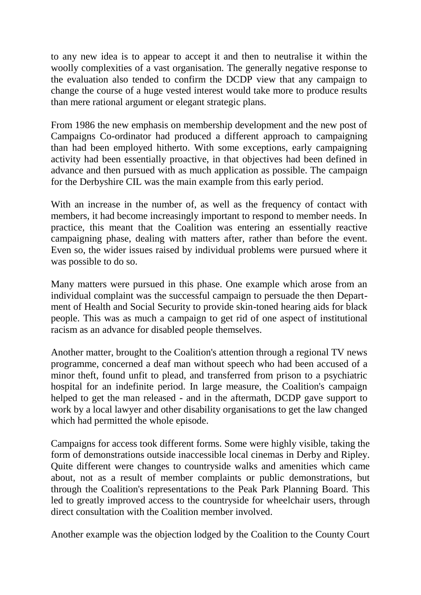to any new idea is to appear to accept it and then to neutralise it within the woolly complexities of a vast organisation. The generally negative response to the evaluation also tended to confirm the DCDP view that any campaign to change the course of a huge vested interest would take more to produce results than mere rational argument or elegant strategic plans.

From 1986 the new emphasis on membership development and the new post of Campaigns Co-ordinator had produced a different approach to campaigning than had been employed hitherto. With some exceptions, early campaigning activity had been essentially proactive, in that objectives had been defined in advance and then pursued with as much application as possible. The campaign for the Derbyshire CIL was the main example from this early period.

With an increase in the number of, as well as the frequency of contact with members, it had become increasingly important to respond to member needs. In practice, this meant that the Coalition was entering an essentially reactive campaigning phase, dealing with matters after, rather than before the event. Even so, the wider issues raised by individual problems were pursued where it was possible to do so.

Many matters were pursued in this phase. One example which arose from an individual complaint was the successful campaign to persuade the then Department of Health and Social Security to provide skin-toned hearing aids for black people. This was as much a campaign to get rid of one aspect of institutional racism as an advance for disabled people themselves.

Another matter, brought to the Coalition's attention through a regional TV news programme, concerned a deaf man without speech who had been accused of a minor theft, found unfit to plead, and transferred from prison to a psychiatric hospital for an indefinite period. In large measure, the Coalition's campaign helped to get the man released - and in the aftermath, DCDP gave support to work by a local lawyer and other disability organisations to get the law changed which had permitted the whole episode.

Campaigns for access took different forms. Some were highly visible, taking the form of demonstrations outside inaccessible local cinemas in Derby and Ripley. Quite different were changes to countryside walks and amenities which came about, not as a result of member complaints or public demonstrations, but through the Coalition's representations to the Peak Park Planning Board. This led to greatly improved access to the countryside for wheelchair users, through direct consultation with the Coalition member involved.

Another example was the objection lodged by the Coalition to the County Court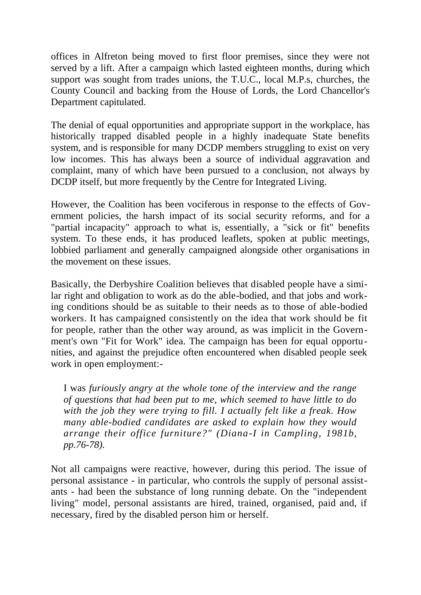offices in Alfreton being moved to first floor premises, since they were not served by a lift. After a campaign which lasted eighteen months, during which support was sought from trades unions, the T.U.C., local M.P.s, churches, the County Council and backing from the House of Lords, the Lord Chancellor's Department capitulated.

The denial of equal opportunities and appropriate support in the workplace, has historically trapped disabled people in a highly inadequate State benefits system, and is responsible for many DCDP members struggling to exist on very low incomes. This has always been a source of individual aggravation and complaint, many of which have been pursued to a conclusion, not always by DCDP itself, but more frequently by the Centre for Integrated Living.

However, the Coalition has been vociferous in response to the effects of Government policies, the harsh impact of its social security reforms, and for a "partial incapacity" approach to what is, essentially, a "sick or fit" benefits system. To these ends, it has produced leaflets, spoken at public meetings, lobbied parliament and generally campaigned alongside other organisations in the movement on these issues.

Basically, the Derbyshire Coalition believes that disabled people have a similar right and obligation to work as do the able-bodied, and that jobs and working conditions should be as suitable to their needs as to those of able-bodied workers. It has campaigned consistently on the idea that work should be fit for people, rather than the other way around, as was implicit in the Government's own "Fit for Work" idea. The campaign has been for equal opportunities, and against the prejudice often encountered when disabled people seek work in open employment:-

I was *furiously angry at the whole tone of the interview and the range of questions that had been put to me, which seemed to have little to do with the job they were trying to fill. I actually felt like a freak. How many able-bodied candidates are asked to explain how they would arrange their office furniture?" (Diana-I in Campling, 1981b, pp.76-78).* 

Not all campaigns were reactive, however, during this period. The issue of personal assistance - in particular, who controls the supply of personal assistants - had been the substance of long running debate. On the "independent living" model, personal assistants are hired, trained, organised, paid and, if necessary, fired by the disabled person him or herself.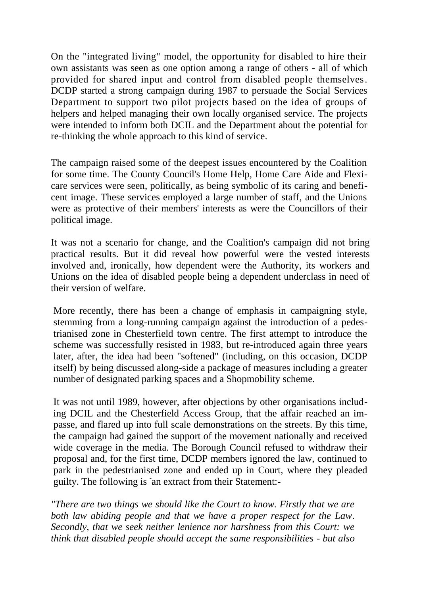On the "integrated living" model, the opportunity for disabled to hire their own assistants was seen as one option among a range of others - all of which provided for shared input and control from disabled people themselves. DCDP started a strong campaign during 1987 to persuade the Social Services Department to support two pilot projects based on the idea of groups of helpers and helped managing their own locally organised service. The projects were intended to inform both DCIL and the Department about the potential for re-thinking the whole approach to this kind of service.

The campaign raised some of the deepest issues encountered by the Coalition for some time. The County Council's Home Help, Home Care Aide and Flexicare services were seen, politically, as being symbolic of its caring and beneficent image. These services employed a large number of staff, and the Unions were as protective of their members' interests as were the Councillors of their political image.

It was not a scenario for change, and the Coalition's campaign did not bring practical results. But it did reveal how powerful were the vested interests involved and, ironically, how dependent were the Authority, its workers and Unions on the idea of disabled people being a dependent underclass in need of their version of welfare.

More recently, there has been a change of emphasis in campaigning style, stemming from a long-running campaign against the introduction of a pedestrianised zone in Chesterfield town centre. The first attempt to introduce the scheme was successfully resisted in 1983, but re-introduced again three years later, after, the idea had been "softened" (including, on this occasion, DCDP itself) by being discussed along-side a package of measures including a greater number of designated parking spaces and a Shopmobility scheme.

It was not until 1989, however, after objections by other organisations including DCIL and the Chesterfield Access Group, that the affair reached an impasse, and flared up into full scale demonstrations on the streets. By this time, the campaign had gained the support of the movement nationally and received wide coverage in the media. The Borough Council refused to withdraw their proposal and, for the first time, DCDP members ignored the law, continued to park in the pedestrianised zone and ended up in Court, where they pleaded guilty. The following is - an extract from their Statement:-

*"There are two things we should like the Court to know. Firstly that we are both law abiding people and that we have a proper respect for the Law. Secondly, that we seek neither lenience nor harshness from this Court: we think that disabled people should accept the same responsibilities - but also*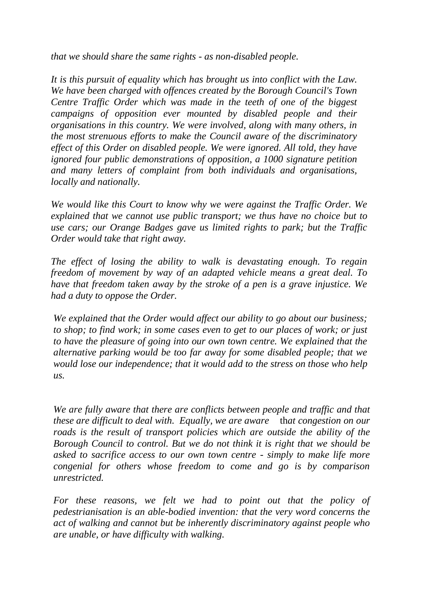*that we should share the same rights - as non-disabled people.* 

*It is this pursuit of equality which has brought us into conflict with the Law. We have been charged with offences created by the Borough Council's Town Centre Traffic Order which was made in the teeth of one of the biggest campaigns of opposition ever mounted by disabled people and their organisations in this country. We were involved, along with many others, in the most strenuous efforts to make the Council aware of the discriminatory effect of this Order on disabled people. We were ignored. All told, they have ignored four public demonstrations of opposition, a 1000 signature petition and many letters of complaint from both individuals and organisations, locally and nationally.* 

*We would like this Court to know why we were against the Traffic Order. We explained that we cannot use public transport; we thus have no choice but to use cars; our Orange Badges gave us limited rights to park; but the Traffic Order would take that right away.* 

*The effect of losing the ability to walk is devastating enough. To regain freedom of movement by way of an adapted vehicle means a great deal. To have that freedom taken away by the stroke of a pen is a grave injustice. We had a duty to oppose the Order.* 

*We explained that the Order would affect our ability to go about our business; to shop; to find work; in some cases even to get to our places of work; or just to have the pleasure of going into our own town centre. We explained that the alternative parking would be too far away for some disabled people; that we would lose our independence; that it would add to the stress on those who help us.*

*We are fully aware that there are conflicts between people and traffic and that these are difficult to deal with. Equally, we are aware* th*at congestion on our roads is the result of transport policies which are outside the ability of the Borough Council to control. But we do not think it is right that we should be asked to sacrifice access to our own town centre - simply to make life more congenial for others whose freedom to come and go is by comparison unrestricted.* 

*For these reasons, we felt we had to point out that the policy of pedestrianisation is an able-bodied invention: that the very word concerns the act of walking and cannot but be inherently discriminatory against people who are unable, or have difficulty with walking.*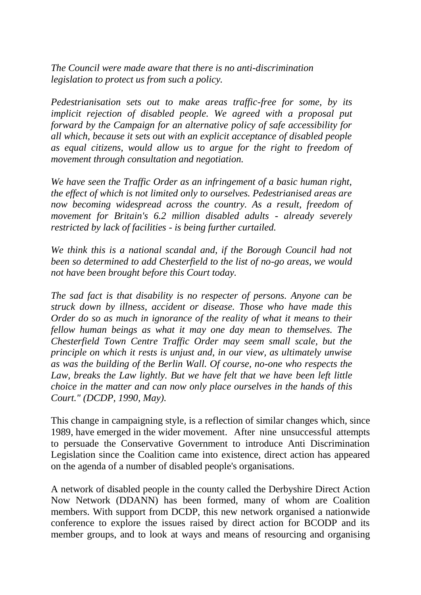*The Council were made aware that there is no anti-discrimination legislation to protect us from such a policy.* 

*Pedestrianisation sets out to make areas traffic-free for some, by its implicit rejection of disabled people. We agreed with a proposal put forward by the Campaign for an alternative policy of safe accessibility for all which, because it sets out with an explicit acceptance of disabled people as equal citizens, would allow us to argue for the right to freedom of movement through consultation and negotiation.* 

*We have seen the Traffic Order as an infringement of a basic human right, the effect of which is not limited only to ourselves. Pedestrianised areas are now becoming widespread across the country. As a result, freedom of movement for Britain's 6.2 million disabled adults - already severely restricted by lack of facilities - is being further curtailed.* 

*We think this is a national scandal and, if the Borough Council had not been so determined to add Chesterfield to the list of no-go areas, we would not have been brought before this Court today.* 

*The sad fact is that disability is no respecter of persons. Anyone can be struck down by illness, accident or disease. Those who have made this Order do so as much in ignorance of the reality of what it means to their fellow human beings as what it may one day mean to themselves. The Chesterfield Town Centre Traffic Order may seem small scale, but the principle on which it rests is unjust and, in our view, as ultimately unwise as was the building of the Berlin Wall. Of course, no-one who respects the*  Law, breaks the Law lightly. But we have felt that we have been left little *choice in the matter and can now only place ourselves in the hands of this Court." (DCDP, 1990, May).* 

This change in campaigning style, is a reflection of similar changes which, since 1989, have emerged in the wider movement. After nine unsuccessful attempts to persuade the Conservative Government to introduce Anti Discrimination Legislation since the Coalition came into existence, direct action has appeared on the agenda of a number of disabled people's organisations.

A network of disabled people in the county called the Derbyshire Direct Action Now Network (DDANN) has been formed, many of whom are Coalition members. With support from DCDP, this new network organised a nationwide conference to explore the issues raised by direct action for BCODP and its member groups, and to look at ways and means of resourcing and organising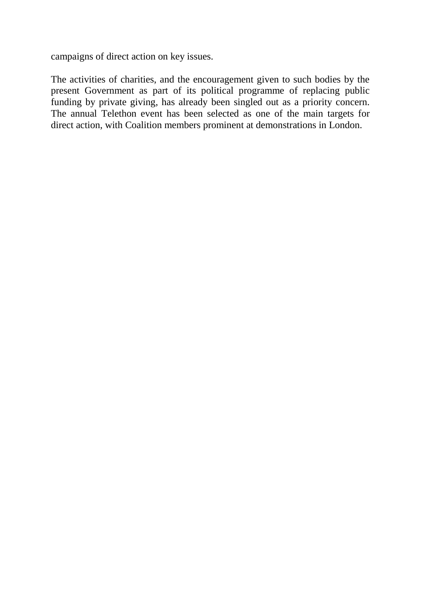campaigns of direct action on key issues.

The activities of charities, and the encouragement given to such bodies by the present Government as part of its political programme of replacing public funding by private giving, has already been singled out as a priority concern. The annual Telethon event has been selected as one of the main targets for direct action, with Coalition members prominent at demonstrations in London.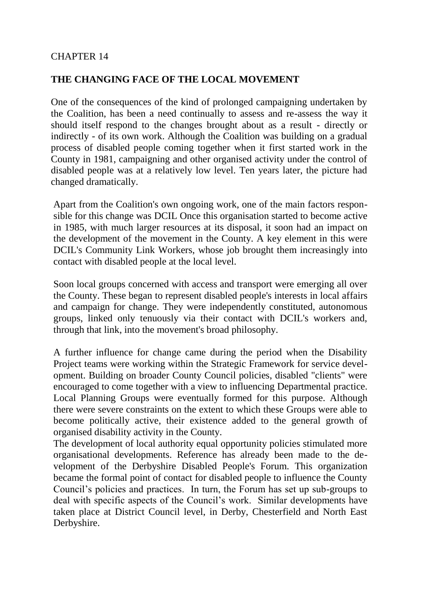# CHAPTER 14

# **THE CHANGING FACE OF THE LOCAL MOVEMENT**

One of the consequences of the kind of prolonged campaigning undertaken by the Coalition, has been a need continually to assess and re-assess the way it should itself respond to the changes brought about as a result - directly or indirectly - of its own work. Although the Coalition was building on a gradual process of disabled people coming together when it first started work in the County in 1981, campaigning and other organised activity under the control of disabled people was at a relatively low level. Ten years later, the picture had changed dramatically.

Apart from the Coalition's own ongoing work, one of the main factors responsible for this change was DCIL Once this organisation started to become active in 1985, with much larger resources at its disposal, it soon had an impact on the development of the movement in the County. A key element in this were DCIL's Community Link Workers, whose job brought them increasingly into contact with disabled people at the local level.

Soon local groups concerned with access and transport were emerging all over the County. These began to represent disabled people's interests in local affairs and campaign for change. They were independently constituted, autonomous groups, linked only tenuously via their contact with DCIL's workers and, through that link, into the movement's broad philosophy.

A further influence for change came during the period when the Disability Project teams were working within the Strategic Framework for service development. Building on broader County Council policies, disabled "clients" were encouraged to come together with a view to influencing Departmental practice. Local Planning Groups were eventually formed for this purpose. Although there were severe constraints on the extent to which these Groups were able to become politically active, their existence added to the general growth of organised disability activity in the County.

The development of local authority equal opportunity policies stimulated more organisational developments. Reference has already been made to the development of the Derbyshire Disabled People's Forum. This organization became the formal point of contact for disabled people to influence the County Council's policies and practices. In turn, the Forum has set up sub-groups to deal with specific aspects of the Council's work. Similar developments have taken place at District Council level, in Derby, Chesterfield and North East Derbyshire.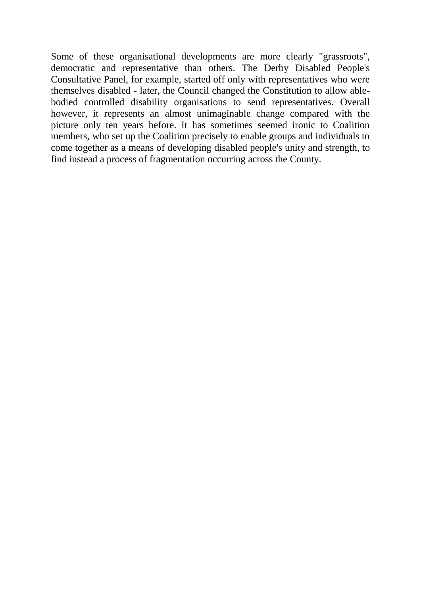Some of these organisational developments are more clearly "grassroots", democratic and representative than others. The Derby Disabled People's Consultative Panel, for example, started off only with representatives who were themselves disabled - later, the Council changed the Constitution to allow ablebodied controlled disability organisations to send representatives. Overall however, it represents an almost unimaginable change compared with the picture only ten years before. It has sometimes seemed ironic to Coalition members, who set up the Coalition precisely to enable groups and individuals to come together as a means of developing disabled people's unity and strength, to find instead a process of fragmentation occurring across the County.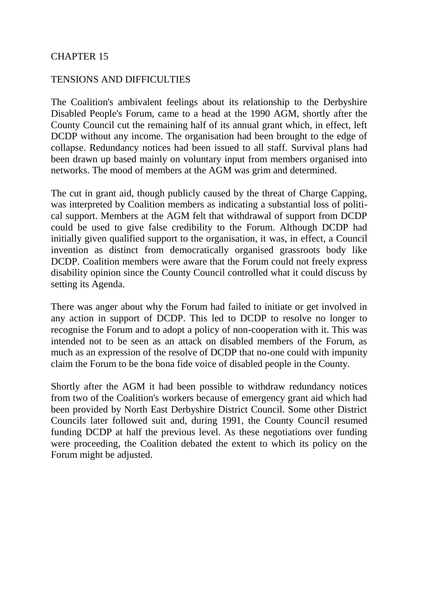### CHAPTER 15

### TENSIONS AND DIFFICULTIES

The Coalition's ambivalent feelings about its relationship to the Derbyshire Disabled People's Forum, came to a head at the 1990 AGM, shortly after the County Council cut the remaining half of its annual grant which, in effect, left DCDP without any income. The organisation had been brought to the edge of collapse. Redundancy notices had been issued to all staff. Survival plans had been drawn up based mainly on voluntary input from members organised into networks. The mood of members at the AGM was grim and determined.

The cut in grant aid, though publicly caused by the threat of Charge Capping, was interpreted by Coalition members as indicating a substantial loss of political support. Members at the AGM felt that withdrawal of support from DCDP could be used to give false credibility to the Forum. Although DCDP had initially given qualified support to the organisation, it was, in effect, a Council invention as distinct from democratically organised grassroots body like DCDP. Coalition members were aware that the Forum could not freely express disability opinion since the County Council controlled what it could discuss by setting its Agenda.

There was anger about why the Forum had failed to initiate or get involved in any action in support of DCDP. This led to DCDP to resolve no longer to recognise the Forum and to adopt a policy of non-cooperation with it. This was intended not to be seen as an attack on disabled members of the Forum, as much as an expression of the resolve of DCDP that no-one could with impunity claim the Forum to be the bona fide voice of disabled people in the County.

Shortly after the AGM it had been possible to withdraw redundancy notices from two of the Coalition's workers because of emergency grant aid which had been provided by North East Derbyshire District Council. Some other District Councils later followed suit and, during 1991, the County Council resumed funding DCDP at half the previous level. As these negotiations over funding were proceeding, the Coalition debated the extent to which its policy on the Forum might be adjusted.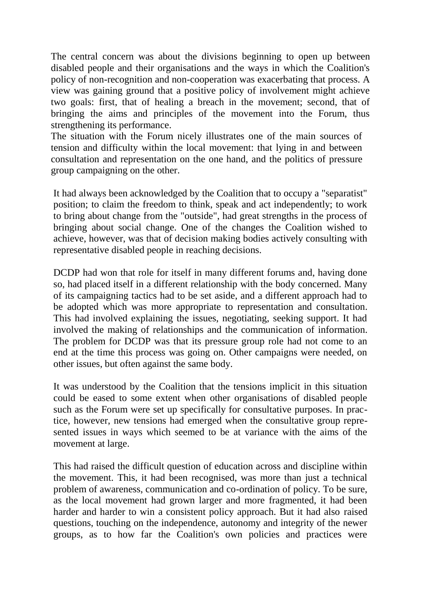The central concern was about the divisions beginning to open up between disabled people and their organisations and the ways in which the Coalition's policy of non-recognition and non-cooperation was exacerbating that process. A view was gaining ground that a positive policy of involvement might achieve two goals: first, that of healing a breach in the movement; second, that of bringing the aims and principles of the movement into the Forum, thus strengthening its performance.

The situation with the Forum nicely illustrates one of the main sources of tension and difficulty within the local movement: that lying in and between consultation and representation on the one hand, and the politics of pressure group campaigning on the other.

It had always been acknowledged by the Coalition that to occupy a "separatist" position; to claim the freedom to think, speak and act independently; to work to bring about change from the "outside", had great strengths in the process of bringing about social change. One of the changes the Coalition wished to achieve, however, was that of decision making bodies actively consulting with representative disabled people in reaching decisions.

DCDP had won that role for itself in many different forums and, having done so, had placed itself in a different relationship with the body concerned. Many of its campaigning tactics had to be set aside, and a different approach had to be adopted which was more appropriate to representation and consultation. This had involved explaining the issues, negotiating, seeking support. It had involved the making of relationships and the communication of information. The problem for DCDP was that its pressure group role had not come to an end at the time this process was going on. Other campaigns were needed, on other issues, but often against the same body.

It was understood by the Coalition that the tensions implicit in this situation could be eased to some extent when other organisations of disabled people such as the Forum were set up specifically for consultative purposes. In practice, however, new tensions had emerged when the consultative group represented issues in ways which seemed to be at variance with the aims of the movement at large.

This had raised the difficult question of education across and discipline within the movement. This, it had been recognised, was more than just a technical problem of awareness, communication and co-ordination of policy. To be sure, as the local movement had grown larger and more fragmented, it had been harder and harder to win a consistent policy approach. But it had also raised questions, touching on the independence, autonomy and integrity of the newer groups, as to how far the Coalition's own policies and practices were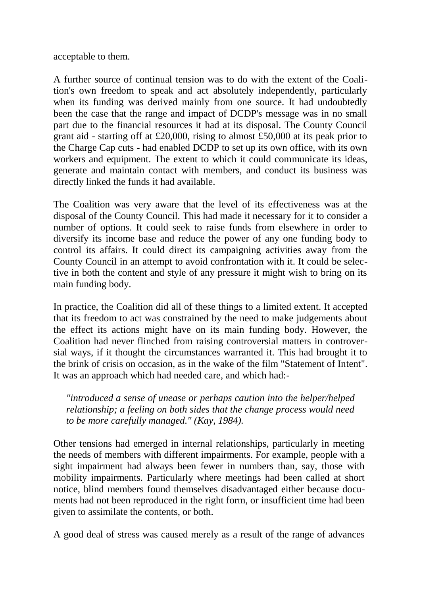acceptable to them.

A further source of continual tension was to do with the extent of the Coalition's own freedom to speak and act absolutely independently, particularly when its funding was derived mainly from one source. It had undoubtedly been the case that the range and impact of DCDP's message was in no small part due to the financial resources it had at its disposal. The County Council grant aid - starting off at £20,000, rising to almost £50,000 at its peak prior to the Charge Cap cuts - had enabled DCDP to set up its own office, with its own workers and equipment. The extent to which it could communicate its ideas, generate and maintain contact with members, and conduct its business was directly linked the funds it had available.

The Coalition was very aware that the level of its effectiveness was at the disposal of the County Council. This had made it necessary for it to consider a number of options. It could seek to raise funds from elsewhere in order to diversify its income base and reduce the power of any one funding body to control its affairs. It could direct its campaigning activities away from the County Council in an attempt to avoid confrontation with it. It could be selective in both the content and style of any pressure it might wish to bring on its main funding body.

In practice, the Coalition did all of these things to a limited extent. It accepted that its freedom to act was constrained by the need to make judgements about the effect its actions might have on its main funding body. However, the Coalition had never flinched from raising controversial matters in controversial ways, if it thought the circumstances warranted it. This had brought it to the brink of crisis on occasion, as in the wake of the film "Statement of Intent". It was an approach which had needed care, and which had:-

*"introduced a sense of unease or perhaps caution into the helper/helped relationship; a feeling on both sides that the change process would need to be more carefully managed." (Kay, 1984).* 

Other tensions had emerged in internal relationships, particularly in meeting the needs of members with different impairments. For example, people with a sight impairment had always been fewer in numbers than, say, those with mobility impairments. Particularly where meetings had been called at short notice, blind members found themselves disadvantaged either because documents had not been reproduced in the right form, or insufficient time had been given to assimilate the contents, or both.

A good deal of stress was caused merely as a result of the range of advances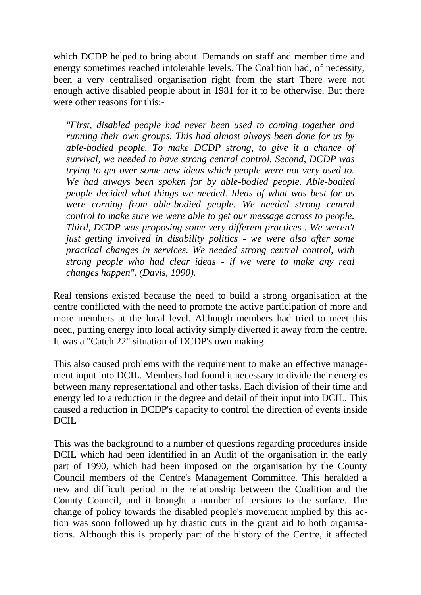which DCDP helped to bring about. Demands on staff and member time and energy sometimes reached intolerable levels. The Coalition had, of necessity, been a very centralised organisation right from the start There were not enough active disabled people about in 1981 for it to be otherwise. But there were other reasons for this:-

*"First, disabled people had never been used to coming together and running their own groups. This had almost always been done for us by able-bodied people. To make DCDP strong, to give it a chance of survival, we needed to have strong central control. Second, DCDP was trying to get over some new ideas which people were not very used to. We had always been spoken for by able-bodied people. Able-bodied people decided what things we needed. Ideas of what was best for us were corning from able-bodied people. We needed strong central control to make sure we were able to get our message across to people. Third, DCDP was proposing some very different practices . We weren't just getting involved in disability politics - we were also after some practical changes in services. We needed strong central control, with strong people who had clear ideas - if we were to make any real changes happen". (Davis, 1990).* 

Real tensions existed because the need to build a strong organisation at the centre conflicted with the need to promote the active participation of more and more members at the local level. Although members had tried to meet this need, putting energy into local activity simply diverted it away from the centre. It was a "Catch 22" situation of DCDP's own making.

This also caused problems with the requirement to make an effective management input into DCIL. Members had found it necessary to divide their energies between many representational and other tasks. Each division of their time and energy led to a reduction in the degree and detail of their input into DCIL. This caused a reduction in DCDP's capacity to control the direction of events inside DCIL.

This was the background to a number of questions regarding procedures inside DCIL which had been identified in an Audit of the organisation in the early part of 1990, which had been imposed on the organisation by the County Council members of the Centre's Management Committee. This heralded a new and difficult period in the relationship between the Coalition and the County Council, and it brought a number of tensions to the surface. The change of policy towards the disabled people's movement implied by this action was soon followed up by drastic cuts in the grant aid to both organisations. Although this is properly part of the history of the Centre, it affected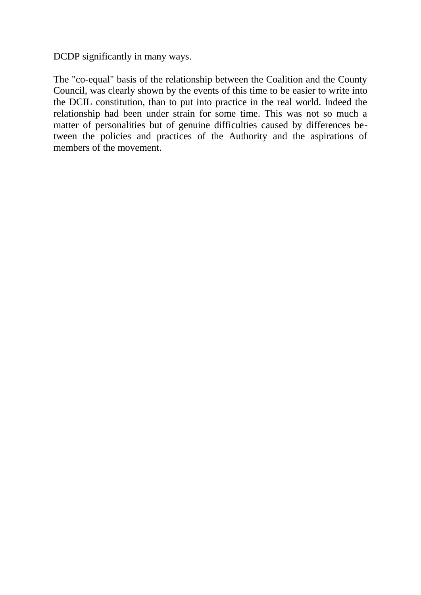DCDP significantly in many ways.

The "co-equal" basis of the relationship between the Coalition and the County Council, was clearly shown by the events of this time to be easier to write into the DCIL constitution, than to put into practice in the real world. Indeed the relationship had been under strain for some time. This was not so much a matter of personalities but of genuine difficulties caused by differences between the policies and practices of the Authority and the aspirations of members of the movement.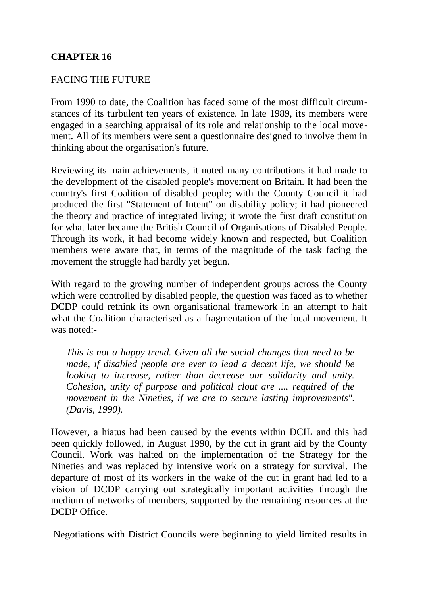# **CHAPTER 16**

# FACING THE FUTURE

From 1990 to date, the Coalition has faced some of the most difficult circumstances of its turbulent ten years of existence. In late 1989, its members were engaged in a searching appraisal of its role and relationship to the local movement. All of its members were sent a questionnaire designed to involve them in thinking about the organisation's future.

Reviewing its main achievements, it noted many contributions it had made to the development of the disabled people's movement on Britain. It had been the country's first Coalition of disabled people; with the County Council it had produced the first "Statement of Intent" on disability policy; it had pioneered the theory and practice of integrated living; it wrote the first draft constitution for what later became the British Council of Organisations of Disabled People. Through its work, it had become widely known and respected, but Coalition members were aware that, in terms of the magnitude of the task facing the movement the struggle had hardly yet begun.

With regard to the growing number of independent groups across the County which were controlled by disabled people, the question was faced as to whether DCDP could rethink its own organisational framework in an attempt to halt what the Coalition characterised as a fragmentation of the local movement. It was noted:-

*This is not a happy trend. Given all the social changes that need to be made, if disabled people are ever to lead a decent life, we should be looking to increase, rather than decrease our solidarity and unity. Cohesion, unity of purpose and political clout are .... required of the movement in the Nineties, if we are to secure lasting improvements". (Davis, 1990).* 

However, a hiatus had been caused by the events within DCIL and this had been quickly followed, in August 1990, by the cut in grant aid by the County Council. Work was halted on the implementation of the Strategy for the Nineties and was replaced by intensive work on a strategy for survival. The departure of most of its workers in the wake of the cut in grant had led to a vision of DCDP carrying out strategically important activities through the medium of networks of members, supported by the remaining resources at the DCDP Office.

Negotiations with District Councils were beginning to yield limited results in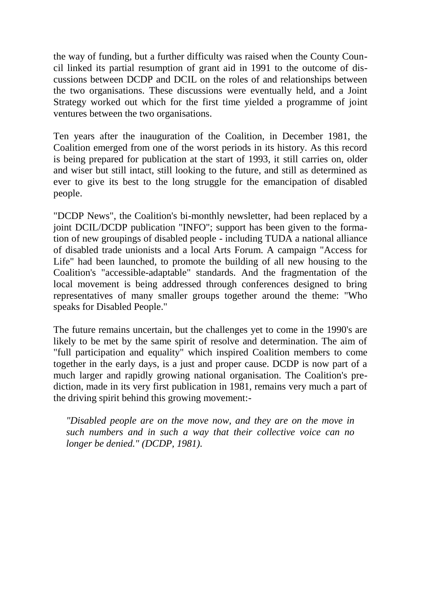the way of funding, but a further difficulty was raised when the County Council linked its partial resumption of grant aid in 1991 to the outcome of discussions between DCDP and DCIL on the roles of and relationships between the two organisations. These discussions were eventually held, and a Joint Strategy worked out which for the first time yielded a programme of joint ventures between the two organisations.

Ten years after the inauguration of the Coalition, in December 1981, the Coalition emerged from one of the worst periods in its history. As this record is being prepared for publication at the start of 1993, it still carries on, older and wiser but still intact, still looking to the future, and still as determined as ever to give its best to the long struggle for the emancipation of disabled people.

"DCDP News", the Coalition's bi-monthly newsletter, had been replaced by a joint DCIL/DCDP publication "INFO"; support has been given to the formation of new groupings of disabled people - including TUDA a national alliance of disabled trade unionists and a local Arts Forum. A campaign "Access for Life" had been launched, to promote the building of all new housing to the Coalition's "accessible-adaptable" standards. And the fragmentation of the local movement is being addressed through conferences designed to bring representatives of many smaller groups together around the theme: "Who speaks for Disabled People."

The future remains uncertain, but the challenges yet to come in the 1990's are likely to be met by the same spirit of resolve and determination. The aim of "full participation and equality" which inspired Coalition members to come together in the early days, is a just and proper cause. DCDP is now part of a much larger and rapidly growing national organisation. The Coalition's prediction, made in its very first publication in 1981, remains very much a part of the driving spirit behind this growing movement:-

*"Disabled people are on the move now, and they are on the move in such numbers and in such a way that their collective voice can no longer be denied." (DCDP, 1981).*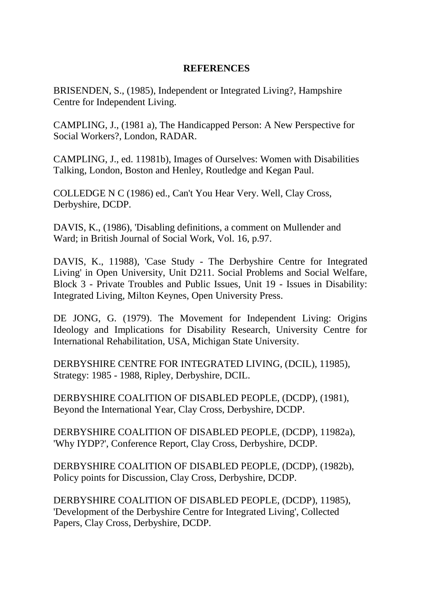# **REFERENCES**

BRISENDEN, S., (1985), Independent or Integrated Living?, Hampshire Centre for Independent Living.

CAMPLING, J., (1981 a), The Handicapped Person: A New Perspective for Social Workers?, London, RADAR.

CAMPLING, J., ed. 11981b), Images of Ourselves: Women with Disabilities Talking, London, Boston and Henley, Routledge and Kegan Paul.

COLLEDGE N C (1986) ed., Can't You Hear Very. Well, Clay Cross, Derbyshire, DCDP.

DAVIS, K., (1986), 'Disabling definitions, a comment on Mullender and Ward; in British Journal of Social Work, Vol. 16, p.97.

DAVIS, K., 11988), 'Case Study - The Derbyshire Centre for Integrated Living' in Open University, Unit D211. Social Problems and Social Welfare, Block 3 - Private Troubles and Public Issues, Unit 19 - Issues in Disability: Integrated Living, Milton Keynes, Open University Press.

DE JONG, G. (1979). The Movement for Independent Living: Origins Ideology and Implications for Disability Research, University Centre for International Rehabilitation, USA, Michigan State University.

DERBYSHIRE CENTRE FOR INTEGRATED LIVING, (DCIL), 11985), Strategy: 1985 - 1988, Ripley, Derbyshire, DCIL.

DERBYSHIRE COALITION OF DISABLED PEOPLE, (DCDP), (1981), Beyond the International Year, Clay Cross, Derbyshire, DCDP.

DERBYSHIRE COALITION OF DISABLED PEOPLE, (DCDP), 11982a), 'Why IYDP?', Conference Report, Clay Cross, Derbyshire, DCDP.

DERBYSHIRE COALITION OF DISABLED PEOPLE, (DCDP), (1982b), Policy points for Discussion, Clay Cross, Derbyshire, DCDP.

DERBYSHIRE COALITION OF DISABLED PEOPLE, (DCDP), 11985), 'Development of the Derbyshire Centre for Integrated Living', Collected Papers, Clay Cross, Derbyshire, DCDP.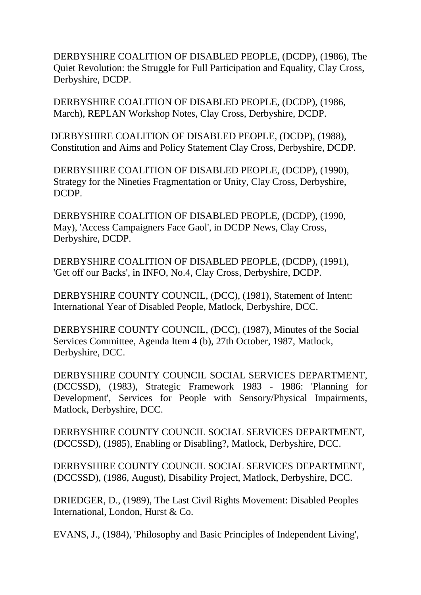DERBYSHIRE COALITION OF DISABLED PEOPLE, (DCDP), (1986), The Quiet Revolution: the Struggle for Full Participation and Equality, Clay Cross, Derbyshire, DCDP.

DERBYSHIRE COALITION OF DISABLED PEOPLE, (DCDP), (1986, March), REPLAN Workshop Notes, Clay Cross, Derbyshire, DCDP.

DERBYSHIRE COALITION OF DISABLED PEOPLE, (DCDP), (1988), Constitution and Aims and Policy Statement Clay Cross, Derbyshire, DCDP.

DERBYSHIRE COALITION OF DISABLED PEOPLE, (DCDP), (1990), Strategy for the Nineties Fragmentation or Unity, Clay Cross, Derbyshire, DCDP.

DERBYSHIRE COALITION OF DISABLED PEOPLE, (DCDP), (1990, May), 'Access Campaigners Face Gaol', in DCDP News, Clay Cross, Derbyshire, DCDP.

DERBYSHIRE COALITION OF DISABLED PEOPLE, (DCDP), (1991), 'Get off our Backs', in INFO, No.4, Clay Cross, Derbyshire, DCDP.

DERBYSHIRE COUNTY COUNCIL, (DCC), (1981), Statement of Intent: International Year of Disabled People, Matlock, Derbyshire, DCC.

DERBYSHIRE COUNTY COUNCIL, (DCC), (1987), Minutes of the Social Services Committee, Agenda Item 4 (b), 27th October, 1987, Matlock, Derbyshire, DCC.

DERBYSHIRE COUNTY COUNCIL SOCIAL SERVICES DEPARTMENT, (DCCSSD), (1983), Strategic Framework 1983 - 1986: 'Planning for Development', Services for People with Sensory/Physical Impairments, Matlock, Derbyshire, DCC.

DERBYSHIRE COUNTY COUNCIL SOCIAL SERVICES DEPARTMENT, (DCCSSD), (1985), Enabling or Disabling?, Matlock, Derbyshire, DCC.

DERBYSHIRE COUNTY COUNCIL SOCIAL SERVICES DEPARTMENT, (DCCSSD), (1986, August), Disability Project, Matlock, Derbyshire, DCC.

DRIEDGER, D., (1989), The Last Civil Rights Movement: Disabled Peoples International, London, Hurst & Co.

EVANS, J., (1984), 'Philosophy and Basic Principles of Independent Living',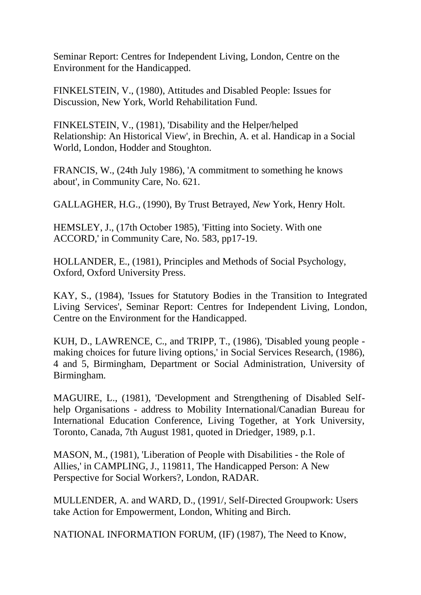Seminar Report: Centres for Independent Living, London, Centre on the Environment for the Handicapped.

FINKELSTEIN, V., (1980), Attitudes and Disabled People: Issues for Discussion, New York, World Rehabilitation Fund.

FINKELSTEIN, V., (1981), 'Disability and the Helper/helped Relationship: An Historical View', in Brechin, A. et al. Handicap in a Social World, London, Hodder and Stoughton.

FRANCIS, W., (24th July 1986), 'A commitment to something he knows about', in Community Care, No. 621.

GALLAGHER, H.G., (1990), By Trust Betrayed, *New* York, Henry Holt.

HEMSLEY, J., (17th October 1985), 'Fitting into Society. With one ACCORD,' in Community Care, No. 583, pp17-19.

HOLLANDER, E., (1981), Principles and Methods of Social Psychology, Oxford, Oxford University Press.

KAY, S., (1984), 'Issues for Statutory Bodies in the Transition to Integrated Living Services', Seminar Report: Centres for Independent Living, London, Centre on the Environment for the Handicapped.

KUH, D., LAWRENCE, C., and TRIPP, T., (1986), 'Disabled young people making choices for future living options,' in Social Services Research, (1986), 4 and 5, Birmingham, Department or Social Administration, University of Birmingham.

MAGUIRE, L., (1981), 'Development and Strengthening of Disabled Selfhelp Organisations - address to Mobility International/Canadian Bureau for International Education Conference, Living Together, at York University, Toronto, Canada, 7th August 1981, quoted in Driedger, 1989, p.1.

MASON, M., (1981), 'Liberation of People with Disabilities - the Role of Allies,' in CAMPLING, J., 119811, The Handicapped Person: A New Perspective for Social Workers?, London, RADAR.

MULLENDER, A. and WARD, D., (1991/, Self-Directed Groupwork: Users take Action for Empowerment, London, Whiting and Birch.

NATIONAL INFORMATION FORUM, (IF) (1987), The Need to Know,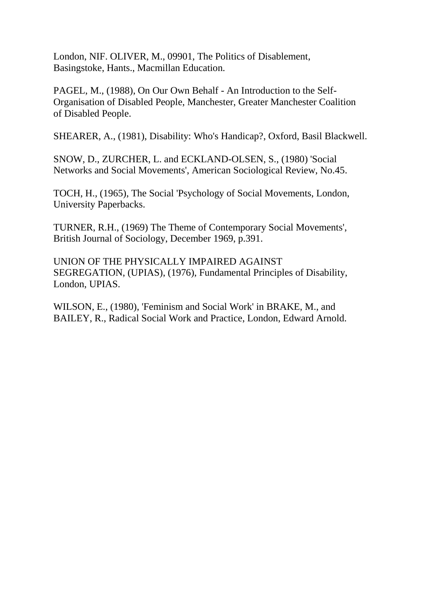London, NIF. OLIVER, M., 09901, The Politics of Disablement, Basingstoke, Hants., Macmillan Education.

PAGEL, M., (1988), On Our Own Behalf - An Introduction to the Self-Organisation of Disabled People, Manchester, Greater Manchester Coalition of Disabled People.

SHEARER, A., (1981), Disability: Who's Handicap?, Oxford, Basil Blackwell.

SNOW, D., ZURCHER, L. and ECKLAND-OLSEN, S., (1980) 'Social Networks and Social Movements', American Sociological Review, No.45.

TOCH, H., (1965), The Social 'Psychology of Social Movements, London, University Paperbacks.

TURNER, R.H., (1969) The Theme of Contemporary Social Movements', British Journal of Sociology, December 1969, p.391.

UNION OF THE PHYSICALLY IMPAIRED AGAINST SEGREGATION, (UPIAS), (1976), Fundamental Principles of Disability, London, UPIAS.

WILSON, E., (1980), 'Feminism and Social Work' in BRAKE, M., and BAILEY, R., Radical Social Work and Practice, London, Edward Arnold.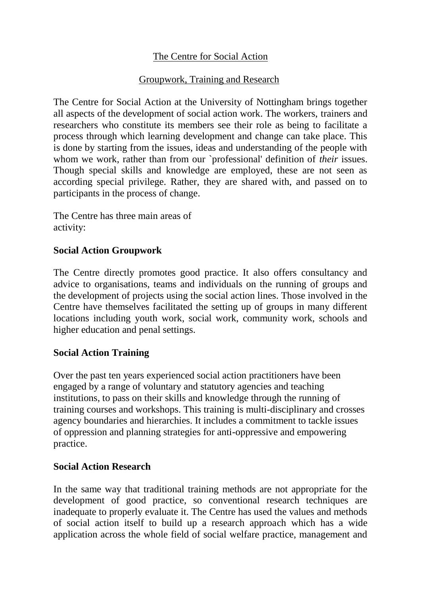# The Centre for Social Action

# Groupwork, Training and Research

The Centre for Social Action at the University of Nottingham brings together all aspects of the development of social action work. The workers, trainers and researchers who constitute its members see their role as being to facilitate a process through which learning development and change can take place. This is done by starting from the issues, ideas and understanding of the people with whom we work, rather than from our `professional' definition of *their* issues. Though special skills and knowledge are employed, these are not seen as according special privilege. Rather, they are shared with, and passed on to participants in the process of change.

The Centre has three main areas of activity:

# **Social Action Groupwork**

The Centre directly promotes good practice. It also offers consultancy and advice to organisations, teams and individuals on the running of groups and the development of projects using the social action lines. Those involved in the Centre have themselves facilitated the setting up of groups in many different locations including youth work, social work, community work, schools and higher education and penal settings.

# **Social Action Training**

Over the past ten years experienced social action practitioners have been engaged by a range of voluntary and statutory agencies and teaching institutions, to pass on their skills and knowledge through the running of training courses and workshops. This training is multi-disciplinary and crosses agency boundaries and hierarchies. It includes a commitment to tackle issues of oppression and planning strategies for anti-oppressive and empowering practice.

# **Social Action Research**

In the same way that traditional training methods are not appropriate for the development of good practice, so conventional research techniques are inadequate to properly evaluate it. The Centre has used the values and methods of social action itself to build up a research approach which has a wide application across the whole field of social welfare practice, management and